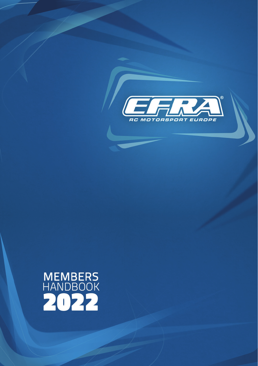

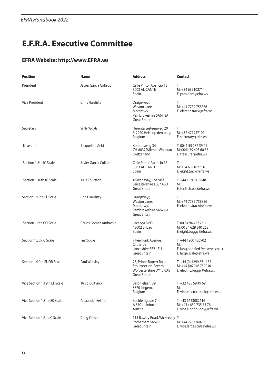## **E.F.R.A. Executive Committee**

### **EFRA Website: http://www.EFRA.ws**

| <b>Position</b>               | <b>Name</b>           | <b>Address</b>                                                                                   | Contact                                                                               |
|-------------------------------|-----------------------|--------------------------------------------------------------------------------------------------|---------------------------------------------------------------------------------------|
| President                     | Javier García Collado | Calle Pintor Aparicio 18<br>3003 ALICANTE<br>Spain                                               | T:<br>M: +34 639102714<br>E: president@efra.ws                                        |
| <b>Vice President</b>         | <b>Chris Hardisty</b> | Draigsweyr,<br>Weston Lane,<br>Martletwy,<br>Pembrokeshire SA67 8AT<br><b>Great Britain</b>      | T:<br>M: +44 7789 758856<br>E: electric.track@efra.ws                                 |
| Secretary                     | <b>Willy Wuyts</b>    | Herentalsesteenweg 20<br>B-2220 Heist op den berg<br>Belgium                                     | Т:<br>M: +32 477947109<br>E: secretary@efra.ws                                        |
| Treasurer                     | Jacqueline Aebi       | Konradsweg 34<br>CH-8832 Wilen b. Wollerau<br>Switzerland                                        | T: 0041 55 282 59 01<br>M: 0041 79 403 60 55<br>E: treasurer@efra.ws                  |
| Section 1:8th IC Scale        | Javier García Collado | Calle Pintor Aparicio 18<br>3003 ALICANTE<br>Spain                                               | T:<br>M: +34 639102714<br>E: eight.track@efra.ws                                      |
| Section 1:10th IC Scale       | Julie Thurston        | 4 Swan Way, Coalville<br>Leicestershire LE67 4BU<br><b>Great Britain</b>                         | T: +44 1530 833848<br>M:<br>E: tenth.track@efra.ws                                    |
| Section 1:10th El. Scale      | <b>Chris Hardisty</b> | Draigsweyr,<br>Weston Lane,<br>Martletwy.<br>Pembrokeshire SA67 8AT<br><b>Great Britain</b>      | T:<br>M: +44 7789 758856<br>E: electric.track@efra.ws                                 |
| Section 1:8th OR Scale        | Carlos Gomez Ambrosio | Leceaga 8 6D<br>48002 Bilbao<br>Spain                                                            | T: 00 34 94 427 76 11<br>M: 00 34 629 840 268<br>E: eight.buggy@efra.ws               |
| Section 1:5th IC Scale        | lan Oddie             | 7 Peel Park Avenue,<br>Clitheroe<br>Lancashire BB7 1EU<br>Great Britain                          | T: +44 1200 426902<br>M:<br>E: ian@oddified.freeserve.co.uk<br>E: large.scale@efra.ws |
| Section 1:10th El. OR Scale   | Paul Worsley          | 23, Prince Rupert Road<br>Stourport-on-Severn<br>Worcestershire DY13 0AS<br><b>Great Britain</b> | T: +44 (0) 1299 871 137<br>M: +44 (0)7946 750010<br>E: electric.buggy@efra.ws         |
| Vice Section 1:12th El. Scale | Krist Bultynck        | Baronielaan, 39,<br>8870 Izegem,<br>Belgium                                                      | T: +32 485 59 49 69<br>M:<br>E: vice.electric.track@efra.ws                           |
| Vice Section 1:8th OR Scale   | Alexander Fellner     | Bachfeldgasse 7<br>A 8501 Lieboch<br>Austria                                                     | T: +43 6643082616<br>M: +43 / 650 735 63 76<br>E: vice.eight.buggy@efra.ws            |
| Vice Section 1:5th IC Scale   | Craig Orman           | 115 Bawtry Road, Wickersley T:<br>Rotherham S662BL<br>Great Britain                              | M: +44 7787360205<br>E: vice.large.scale@efra.ws                                      |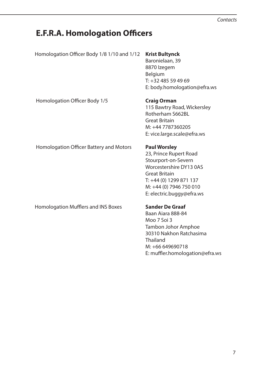#### *Contacts*

### **E.F.R.A. Homologation Officers**

Homologation Officer Body 1/8 1/10 and 1/12 **Krist Bultynck**

 Baronielaan, 39 8870 Izegem Belgium T: +32 485 59 49 69 E: body.homologation@efra.ws

Homologation Officer Body 1/5 **Craig Orman**

 115 Bawtry Road, Wickersley Rotherham S662BL Great Britain M: +44 7787360205 E: vice.large.scale@efra.ws

Homologation Officer Battery and Motors **Paul Worsley**

 23, Prince Rupert Road Stourport-on-Severn Worcestershire DY13 0AS Great Britain T: +44 (0) 1299 871 137 M: +44 (0) 7946 750 010 E: electric.buggy@efra.ws

Homologation Mufflers and INS Boxes **Sander De Graaf**

 Baan Aiara 888-84 Moo 7 Soi 3 Tambon Johor Amphoe 30310 Nakhon Ratchasima Thailand M: +66 649690718 E: muffler.homologation@efra.ws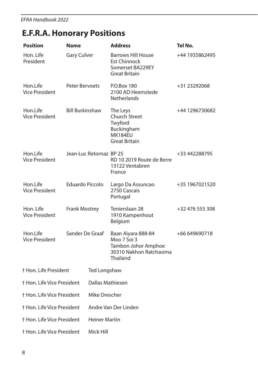# **E.F.R.A. Honorary Positions**

| <b>Position</b>                    | <b>Name</b>             |                      | <b>Address</b>                                                                                  | Tel No.         |  |  |
|------------------------------------|-------------------------|----------------------|-------------------------------------------------------------------------------------------------|-----------------|--|--|
| Hon. Life<br>President             | <b>Gary Culver</b>      |                      | <b>Barrows Hill House</b><br><b>Est Chinnock</b><br>Somerset BA229EY<br>Great Britain           | +44 1935862495  |  |  |
| Hon.Life<br><b>Vice President</b>  | Peter Bervoets          |                      | P.O.Box 180<br>2100 AD Heemstede<br><b>Netherlands</b>                                          | +31 23292068    |  |  |
| Hon.Life<br><b>Vice President</b>  | <b>Bill Burkinshaw</b>  |                      | The Leys<br>Church Street<br>Twyford<br>Buckingham<br><b>MK184EU</b><br><b>Great Britain</b>    | +44 1296730682  |  |  |
| Hon.Life<br><b>Vice President</b>  | Jean-Luc Retornaz BP 25 |                      | RD 10 2019 Route de Berre<br>13122 Ventabren<br>France                                          | +33 442288795   |  |  |
| Hon.Life<br><b>Vice President</b>  | Eduardo Piccolo         |                      | Largo Da Assuncao<br>2750 Cascais<br>Portugal                                                   | +35 1967021520  |  |  |
| Hon. Life<br><b>Vice President</b> | <b>Frank Mostrey</b>    |                      | Tenierslaan 28<br>1910 Kampenhout<br>Belgium                                                    | +32 476 555 308 |  |  |
| Hon.Life<br><b>Vice President</b>  | Sander De Graaf         |                      | Baan Aiyara 888-84<br>Moo 7 Soi 3<br>Tambon Johor Amphoe<br>30310 Nakhon Ratchasima<br>Thailand | +66 649690718   |  |  |
| † Hon. Life President              |                         | Ted Longshaw         |                                                                                                 |                 |  |  |
| † Hon. Life Vice President         |                         |                      | Dallas Mathiesen                                                                                |                 |  |  |
| † Hon. Life Vice President         |                         | Mike Drescher        |                                                                                                 |                 |  |  |
| † Hon. Life Vice President         |                         |                      | Andre Van Der Linden                                                                            |                 |  |  |
| † Hon. Life Vice President         |                         | <b>Heiner Martin</b> |                                                                                                 |                 |  |  |
| † Hon. Life Vice President         |                         | Mick Hill            |                                                                                                 |                 |  |  |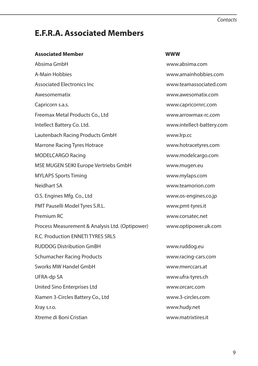#### *Contacts*

### **E.F.R.A. Associated Members**

#### **Associated Member WWW**

Absima GmbH www.absima.com A-Main Hobbies www.amainhobbies.com Associated Electronics Inc www.teamassociated.com Awesomematix and the state of the state www.awesomatix.com Capricorn s.a.s. www.capricornrc.com Freemax Metal Products Co., Ltd www.arrowmax-rc.com Intellect Battery Co. Ltd. www.intellect-battery.com Lautenbach Racing Products GmbH www.lrp.cc Marrone Racing Tyres Hotrace www.hotracetyres.com MODELCARGO Racing www.modelcargo.com MSE MUGEN SEIKI Europe Vertriebs GmbH www.mugen.eu MYLAPS Sports Timing www.mylaps.com Neidhart SA www.teamorion.com O.S. Engines Mfg. Co., Ltd www.os-engines.co.jp PMT Pauselli Model Tyres S.R.L. www.pmt-tyres.it Premium RC www.corsatec.net Process Measurement & Analysis Ltd. (Optipower) www.optipower.uk.com R.C. Production ENNETI TYRES SRLS RUDDOG Distribution GmBH www.ruddog.eu Schumacher Racing Products www.racing-cars.com Sworks MW Handel GmbH www.mwrccars.at UFRA-dp SA www.ufra-tyres.ch United Sino Enterprises Ltd www.orcarc.com Xiamen 3-Circles Battery Co., Ltd www.3-circles.com Xray s.r.o. www.hudy.net Xtreme di Boni Cristian www.matrixtires.it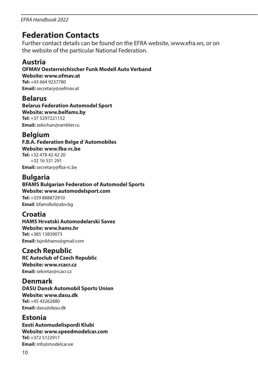### **Federation Contacts**

Further contact details can be found on the EFRA website, www.efra.ws, or on the website of the particular National Federation.

### **Austria**

**OFMAV Oesterreichischer Funk Modell Auto Verband Website: www.ofmav.at Tel:** +43 664 9237780 **Email:** secretary@oefmav.at

**Belarus Belarus Federation Automodel Sport Website: www.belfams.by Tel:** +37 5297221152 **Email:** zekichan@rambler.ru

### **Belgium**

**F.B.A. Federation Belge d´Automobiles Website: www.fba-rc.be Tel:** +32 478 42 42 20 +32 16 531 291

**Email:** secretary@fba-rc.be

# **Bulgaria**

**BFAMS Bulgarian Federation of Automodel Sports Website: www.automodelsport.com**

**Tel:** +359 888872910 **Email**: bfamsfed@abv.bg

### **Croatia**

**HAMS Hrvatski Automodelarski Savez Website: www.hams.hr Tel:** +385 13839073 **Email:** tajnikhams@gmail.com

### **Czech Republic**

**RC Autoclub of Czech Republic Website: www.rcacr.cz Email:** sekretar@rcacr.cz

### **Denmark**

**DASU Dansk Automobil Sports Union Website: www.dasu.dk Tel:** +45 43262880 **Email:** dasu@dasu.dk

### **Estonia**

**Eesti Automudelispordi Klubi Website: www.speedmodelcar.com Tel:** +372 5122917 **Email:** info@modelcar.ee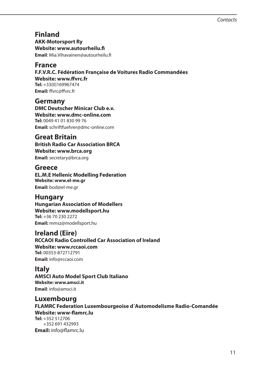**Finland AKK-Motorsport Ry Website: www.autourheilu.fi Email**: Mia.Vihavainen@autourheilu.fi

### **France**

**F.F.V.R.C. Fédération Française de Voitures Radio Commandées Website: www.ffvrc.fr Tel:** +33(0)169967474 **Email:** ffvrc@ffvrc.fr

**Germany DMC Deutscher Minicar Club e.v. Website: www.dmc-online.com Tel:** 0049 41 01 830 99 76 **Email:** schriftfuehrer@dmc-online.com

**Great Britain**

**British Radio Car Association BRCA Website: www.brca.org Email:** secretary@brca.org

**Greece**

**EL.M.E Hellenic Modelling Federation Website: www.el-me.gr Email:** bod@el-me.gr

### **Hungary**

**Hungarian Association of Modellers Website: www.modellsport.hu Tel:** +36 70 230 2272 **Email:** mmsz@modellsport.hu

**Ireland (Eire)**

**RCCAOI Radio Controlled Car Association of Ireland**

**Website: www.rccaoi.com Tel:** 00353-872712791 **Email:** info@rccaoi.com

### **Italy**

**AMSCI Auto Model Sport Club Italiano Website: www.amsci.it Email**: info@amsci.it

**Luxembourg FLAMRC Federation Luxembourgeoise d´Automodelisme Radio-Comandée Website: www-flamrc.lu Tel:** +352 512706 +352 691 432993 **Email:** info@flamrc.lu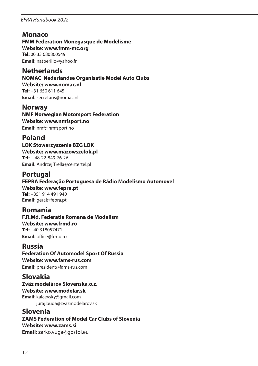### **Monaco**

**FMM Federation Monegasque de Modelisme Website: www.fmm-mc.org Tel:** 00 33 680860549 **Email:** natperillo@yahoo.fr

**Netherlands NOMAC Nederlandse Organisatie Model Auto Clubs Website: www.nomac.nl Tel:** +31 650 611 645 **Email:** secretaris@nomac.nl

**Norway NMF Norwegian Motorsport Federation Website: www.nmfsport.no Email:** nmf@nmfsport.no

### **Poland**

**LOK Stowarzyszenie BZG LOK Website: www.mazowszelok.pl Tel:** + 48-22-849-76-26 **Email:** Andrzej.Trella@centertel.pl

### **Portugal**

**FEPRA Federação Portuguesa de Rádio Modelismo Automovel Website: www.fepra.pt Tel:** +351 914 491 940 **Email:** geral@fepra.pt

**Romania F.R.Md. Federatia Romana de Modelism Website: www.frmd.ro Tel:** +40 318057471 **Email:** office@frmd.ro

### **Russia**

**Federation Of Automodel Sport Of Russia Website: www.fams-rus.com Email:** president@fams-rus.com

**Slovakia**

**Zväz modelárov Slovenska,o.z. Website: www.modelar.sk Email**: kalcevsky@gmail.com juraj.buda@zvazmodelarov.sk

### **Slovenia**

**ZAMS Federation of Model Car Clubs of Slovenia Website: www.zams.si Email:** zarko.vuga@gostol.eu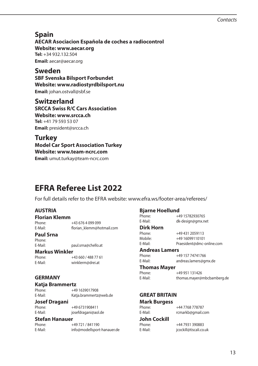#### *Contacts*

### **Spain**

**AECAR Asociacion Española de coches a radiocontrol Website: www.aecar.org Tel:** +34 932.132.504 **Email:** aecar@aecar.org

**Sweden SBF Svenska Bilsport Forbundet Website: www.radiostyrdbilsport.nu Email:** johan.ostvall@sbf.se

### **Switzerland**

**SRCCA Swiss R/C Cars Association Website: www.srcca.ch Tel:** +41 79 593 53 07 **Email:** president@srcca.ch

### **Turkey**

#### **Model Car Sport Association Turkey Website: www.team-ncrc.com**

**Email:** umut.turkay@team-ncrc.com

## **EFRA Referee List 2022**

For full details refer to the EFRA website: www.efra.ws/footer-area/referees/

### **AUSTRIA**

**Florian Klemm** +43 676 4 099 099 E-Mail: florian\_klemm@hotmail.com

#### **Paul Srna**

Phone: E-Mail: paul.srna@chello.at

### **Markus Winkler**

+43 660 / 488 77 61 E-Mail: winklerm@drei.at

#### **GERMANY**

## **Katja Brammertz**

Phone: +49 1639017908 E-Mail: Katja.brammertz@web.de

### **Josef Dragani**

Phone: +49 6731908411 E-Mail: josefdragani@aol.de

### **Stefan Hanauer**

| Phone:  | +49 721 / 841190            |
|---------|-----------------------------|
| E-Mail: | info@modellsport-hanauer.de |

#### **Bjarne Hoellund**

| Phone:                | +49 15782930765            |
|-----------------------|----------------------------|
| E-Mail:               | dk-design@gmx.net          |
| Dirk Horn             |                            |
| Phone:                | +49 431 2059113            |
| Mobile:               | +49 16099110101            |
| E-Mail:               | Praesident@dmc-online.com  |
| <b>Andreas Lamers</b> |                            |
| Phone:                | +49 157 74741766           |
| E-Mail:               | andreas.lamers@gmx.de      |
| <b>Thomas Mayer</b>   |                            |
| Phone:                | +49 951 131426             |
| E-Mail:               | thomas.mayer@mbcbamberg.de |
|                       |                            |
| <b>GREAT BRITAIN</b>  |                            |
| Mark Burgess          |                            |
|                       |                            |

| Phone:       | +44 7768 778787        |
|--------------|------------------------|
| E-Mail:      | rcmarkb@gmail.com      |
| John Cockill |                        |
| Phone:       | +44 7931 390883        |
| E-Mail:      | jcockill@tiscali.co.uk |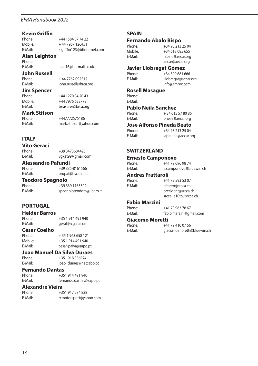## **Kevin Griffin**

Phone: +44 1584 87 74 22<br>Mobile: +44 7967 126451 Mobile: + 44 7967 126451<br>E-Mail: k.ariffin123@btint

**Alan Leighton**

Phone:<br>F-Mail

alan16@hotmail.co.uk

iohn.russell@brca.org

treasurer@brca.org

E-Mail: vgkat99@gmail.com

k.griffin123@btinternet.com

**John Russell**

Phone: + 44 7762 092512<br>E-Mail: iohn.russell@brca.

**Jim Spencer**<br>Phone: Phone: +44 1270 84 20 43<br>Mobile: +44 7976 623772

Mobile: +44 7976 623772<br>E-Mail: treasurer@brca.or

**Mark Stitson**

Phone: +447772575186<br>F-Mail: mark stitson@va E-Mail: mark.stitson@yahoo.com

### **ITALY**

**Vito Geraci**

Phone: +39 3473684423<br>F-Mail: vokat99@gmail.c

**Alessandro Pafundi**

+39 335-8161566 E-Mail: oropaf@tiscalinet.it

### **Teodoro Spagnolo**

Phone: +39 339 1165302<br>F-Mail: spagnoloteodoro spagnoloteodoro@libero.it

### **PORTUGAL**

**Helder Barros**

Phone: +35 1 914 491 940<br>F-Mail: eral@rcgafa.com E-Mail: geral@rcgafa.com

### **César Coelho**

 $+ 35 1 963 658 121$ Mobile: +35 1 914 491 940 E-Mail: cesar-paiva@sapo.pt

### **Joao Manuel Da Silva Duraes**

Phone: +351 918 356924<br>F-Mail· ioao duraes@net ioao\_duraes@netcabo.pt

### **Fernando Dantas**

 $+351914491940$ E-Mail: fernando.dantas@sapo.pt

#### **Alexandre Vieira**

| Phone:  | +351 917 584 828       |
|---------|------------------------|
| E-Mail: | rcmotorsport@yahoo.com |

#### **SPAIN**

### **Fernando Abalo Bispo**

Phone: +34 93 213 25 04<br>Mobile: +34 618 085 655 Mobile: +34 618 085 655<br>
F-Mail: fabalo@aecar.org

fabalo@aecar.org aecar@aecar.org

### **Javier Llobregat Gómez**

Phone:  $+34\,609\,681\,666$ <br>F-Mail:  $\frac{1}{2}$  illobregat@aecar illobregat@aecar.org info@ambrc.com

#### **Rosell Masague**

Phone: E-Mail:

### **Pablo Neila Sanchez**

Phone:  $+ 34615578086$ <br>E-Mail: pheila@aecar.org pneila@aecar.org

## **Jose Alfonso Pineda Beato**

+34 93 213 25 04 E-Mail: japineda@aecar.org

#### **SWITZERLAND**

### **Ernesto Camponovo**

E-Mail: e.camponovo@bluewin.ch

## **Andres Frattaroli**

Phone: +41 79 593 53 07<br>E-Mail: efrarep@srcca.ch efrarep@srcca.ch president@srcca.ch srcca\_e10tc@srcca.ch

+41 79 696 98 74

### **Fabio Marzini**

+41 79 963 78 67 E-Mail: fabio.marzini@gmail.com

### Giacomo Moretti<br>Phone: +4

Phone: +41 79 410 07 56<br>E-Mail: aiacomo.moretti

qiacomo.moretti@bluewin.ch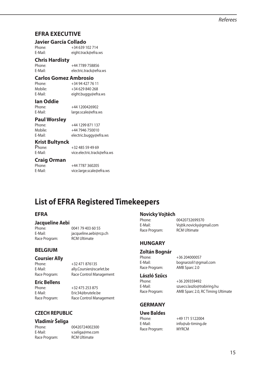### **EFRA EXECUTIVE**

### **Javier García Collado**

Phone: +34 639 102 714<br>F-Mail: eight track@efra eight.track@efra.ws

### **Chris Hardisty**

+44 7789 758856 E-Mail: electric.track@efra.ws

### **Carlos Gomez Ambrosio**

Phone: +34 94 427 76 11<br>Mobile: +34 629 840 268 Mobile: +34 629 840 268<br>E-Mail: eight.buggy@efr eight.buggy@efra.ws

### **Ian Oddie**

Phone: +44 1200426902<br>F-Mail: large scale@efra large.scale@efra.ws

#### **Paul Worsley**

| Phone:  | +44 1299 871 137       |
|---------|------------------------|
| Mobile: | +44 7946 750010        |
| E-Mail: | electric.buggy@efra.ws |

#### **Krist Bultynck**

| Phone:  | +32 485 59 49 69            |
|---------|-----------------------------|
| E-Mail: | vice.electric.track@efra.ws |

#### **Craig Orman**

| Phone:  | +44 7787 360205          |
|---------|--------------------------|
| E-Mail: | vice.large.scale@efra.ws |

### **List of EFRA Registered Timekeepers**

#### **EFRA**

### **Jacqueline Aebi**

Race Program:

0041 79 403 60 55 E-Mail: jacqueline.aebi@rcp.ch

#### **BELGIUM**

## **Coursier Ally**

+32 471 876135 E-Mail: ally.Coursier@scarlet.be Race Program: Race Control Management

#### **Eric Bellens**

Phone: +32 475 253 875 E-Mail: Eric34@brutele.be Race Program: Race Control Management

### **CZECH REPUBLIC**

#### **Vladimír Šeliga**

Race Program: RCM Ultimate

Phone: 00420724002300 E-Mail: v.seliga@me.com

## **Novicky Vojtěch**

Phone: 00420732699370<br>F-Mail: Voitik novicky@gi Voitik.novicky@gmail.com Race Program: RCM Ultimate

### **HUNGARY**

### **Zoltán Bognár**

+36 204000057 E-Mail: bognarzoli1@gmail.com Race Program: AMB Sparc 2.0

szuecs.laszlo@trabiring.hu

### **László Szűcs**

Phone: +36 209359492<br>F-Mail: szuecs laszlo@tr Race Program: AMB Sparc 2.0, RC Timing Ultimate

### **GERMANY**

### **Uwe Baldes**

Race Program: MYRCM

+49 171 5122004 E-Mail: info@ub-timing.de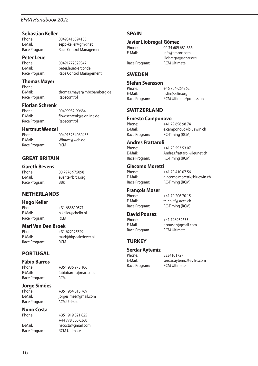## **Sebastian Keller**

Phone: 00493416894135<br>F-Mail: sepp-keller@gmx E-Mail: sepp-keller@gmx.net<br>Race Program: Race Control Manage Race Control Management

### **Peter Leue**

Phone: 00491772329347<br>E-Mail: poter leue@arcor E-Mail: peter.leue@arcor.de .<br>Race Control Management

#### **Thomas Mayer**

Phone:<br>F-Mail· thomas.mayer@mbcbamberg.de<br>Racecontrol Race Program:

# **Florian Schrenk**

Race Program:

Phone: 00499932-90684<br>E-Mail: flow.schrenk@t-c flow.schrenk@t-online.de<br>Racecontrol

### **Hartmut Wenzel**

Race Program:

004915234080435 E-Mail: Whawe@web.de<br>Race Program: RCM

00 7976 975098

#### **GREAT BRITAIN**

## **Gareth Bevens**

E-Mail: events@brca.org<br>Race Program: RRK Race Program:

#### **NETHERLANDS**

### **Hugo Keller**

Race Program:

Phone: +31 683810571<br>F-Mail: h keller@chello h.keller@chello.nl<br>BCM

### **Mari Van Den Broek**

Race Program:

Phone: +31 622125592 E-Mail: mari@bigscale4ever.nl<br>Race Program: RCM

#### **PORTUGAL**

**Fábio Barros**

Phone: +351 936 978 106<br>E-Mail: fabiobarros@mac E-Mail: fabiobarros@mac.com Race Program: RCM

**Jorge Simões**

Race Program:

+351 964 018 769 E-Mail: jorgesimes@gmail.com

### **Nuno Costa**

E-Mail: nscosta@gmail.com Race Program: RCM Ultimate

 $+351919821825$ +44 778 566 6360

#### **SPAIN**

### **Javier Llobregat Gómez**

Race Program:

Phone: 00 34 609 681 666<br>F-Mail: info@ambrc.com E-Mail: info@ambrc.com jllobregat@aecar.org<br>RCM Ultimate

#### **SWEDEN**

### **Stefan Svensson**

Phone: +46 704-264362<br>F-Mail: eslin@eslin.org E-Mail: eslin@eslin.org<br>Race Program: RCM Ultimate/r RCM Ultimate/professional

#### **SWITZERLAND**

### **Ernesto Camponovo**

+41 79 696 98 74 E-Mail: e.camponovo@bluewin.ch RC-Timing (RCM)

### **Andres Frattaroli**

Phone: +41 79 593 53 07<br>E-Mail: Andres frattarolic

E-Mail: Andres.frattaroli@leunet.ch Race Program: RC-Timing (RCM)

### **Giacomo Moretti**

Phone: +41 79 410 07 56 E-Mail: giacomo.moretti@bluewin.ch<br>
Race Program: RC-Timing (RCM) RC-Timing (RCM)

### **François Moser**

Phone: +41 79 206 70 15<br>F-Mail: tr-chief@srcca.ch E-Mail: tc-chief@srcca.ch<br>Race Program: RC-Timing (RCM) RC-Timing (RCM)

+41 798952635

### **David Pousaz**

E-Mail dpousaz@gmail.com Race Program RCM Ultimate

**TURKEY**

### **Serdar Aytemiz**

Phone: 5334101727<br>E-Mail: serdar aytem Race Program:

serdar.aytemiz@evilrc.com<br>RCM Ultimate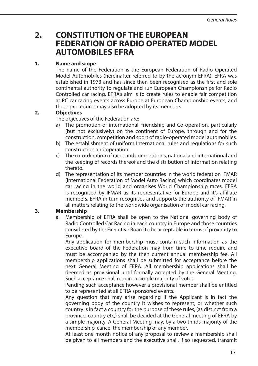### **2. CONSTITUTION OF THE EUROPEAN FEDERATION OF RADIO OPERATED MODEL AUTOMOBILES EFRA**

### **1. Name and scope**

 The name of the Federation is the European Federation of Radio Operated Model Automobiles (hereinafter referred to by the acronym EFRA). EFRA was established in 1973 and has since then been recognised as the first and sole continental authority to regulate and run European Championships for Radio Controlled car racing. EFRA's aim is to create rules to enable fair competition at RC car racing events across Europe at European Championship events, and these procedures may also be adopted by its members.

### **2. Objectives**

The objectives of the Federation are:

- a) The promotion of international Friendship and Co-operation, particularly (but not exclusively) on the continent of Europe, through and for the construction, competition and sport of radio-operated model automobiles.
- b) The establishment of uniform International rules and regulations for such construction and operation.
- c) The co-ordination of races and competitions, national and international and the keeping of records thereof and the distribution of information relating thereto.
- d) The representation of its member countries in the world federation IFMAR (International Federation of Model Auto Racing) which coordinates model car racing in the world and organises World Championship races. EFRA is recognised by IFMAR as its representative for Europe and it's affiliate members. EFRA in turn recognises and supports the authority of IFMAR in all matters relating to the worldwide organisation of model car racing.

### **3. Membership**

a. Membership of EFRA shall be open to the National governing body of Radio Controlled Car Racing in each country in Europe and those countries considered by the Executive Board to be acceptable in terms of proximity to Europe.

 Any application for membership must contain such information as the executive board of the Federation may from time to time require and must be accompanied by the then current annual membership fee. All membership applications shall be submitted for acceptance before the next General Meeting of EFRA. All membership applications shall be deemed as provisional until formally accepted by the General Meeting. Such acceptance shall require a simple majority of votes.

 Pending such acceptance however a provisional member shall be entitled to be represented at all EFRA sponsored events.

 Any question that may arise regarding if the Applicant is in fact the governing body of the country it wishes to represent, or whether such country is in fact a country for the purpose of these rules, (as distinct from a province, country etc,) shall be decided at the General meeting of EFRA by a simple majority. A General Meeting may, by a two thirds majority of the membership, cancel the membership of any member.

 At least one month notice of any proposal to review a membership shall be given to all members and the executive shall, if so requested, transmit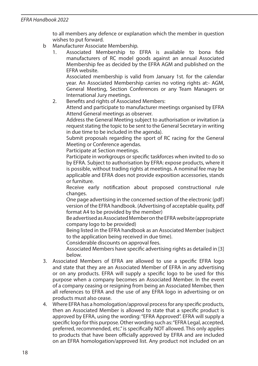to all members any defence or explanation which the member in question wishes to put forward.

- b Manufacturer Associate Membership.
	- 1. Associated Membership to EFRA is available to bona fide manufacturers of RC model goods against an annual Associated Membership fee as decided by the EFRA AGM and published on the EFRA website.

 Associated membership is valid from January 1st. for the calendar year. An Associated Membership carries no voting rights at:- AGM, General Meeting, Section Conferences or any Team Managers or International Jury meetings.

2. Benefits and rights of Associated Members:

 Attend and participate to manufacturer meetings organised by EFRA Attend General meetings as observer.

 Address the General Meeting subject to authorisation or invitation (a request stating the topic to be sent to the General Secretary in writing in due time to be included in the agenda).

 Submit proposals regarding the sport of RC racing for the General Meeting or Conference agendas.

Participate at Section meetings.

 Participate in workgroups or specific taskforces when invited to do so by EFRA. Subject to authorisation by EFRA: expose products, where it is possible, without trading rights at meetings. A nominal fee may be applicable and EFRA does not provide exposition accessories, stands or furniture.

 Receive early notification about proposed constructional rule changes.

 One page advertising in the concerned section of the electronic (pdf) version of the EFRA handbook. (Advertising of acceptable quality, pdf format A4 to be provided by the member)

 Be advertised as Associated Member on the EFRA website (appropriate company logo to be provided)

 Being listed in the EFRA handbook as an Associated Member (subject to the application being received in due time).

Considerable discounts on approval fees.

 Associated Members have specific advertising rights as detailed in [3] below.

- 3. Associated Members of EFRA are allowed to use a specific EFRA logo and state that they are an Associated Member of EFRA in any advertising or on any products. EFRA will supply a specific logo to be used for this purpose when a company becomes an Associated Member. In the event of a company ceasing or resigning from being an Associated Member, then all references to EFRA and the use of any EFRA logo in advertising or on products must also cease.
- 4. Where EFRA has a homologation/approval process for any specific products, then an Associated Member is allowed to state that a specific product is approved by EFRA, using the wording: "EFRA Approved". EFRA will supply a specific logo for this purpose. Other wording such as: "EFRA Legal, accepted, preferred, recommended, etc." is specifically NOT allowed. This only applies to products that have been officially approved by EFRA and are included on an EFRA homologation/approved list. Any product not included on an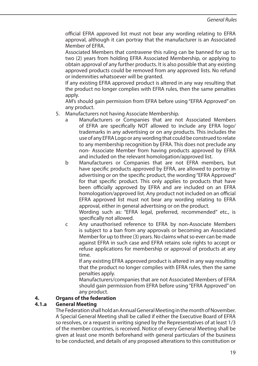official EFRA approved list must not bear any wording relating to EFRA approval, although it can portray that the manufacturer is an Associated Member of EFRA.

 Associated Members that contravene this ruling can be banned for up to two (2) years from holding EFRA Associated Membership, or applying to obtain approval of any further products. It is also possible that any existing approved products could be removed from any approved lists. No refund or indemnities whatsoever will be granted.

 If any existing EFRA approved product is altered in any way resulting that the product no longer complies with EFRA rules, then the same penalties apply.

 AM's should gain permission from EFRA before using "EFRA Approved" on any product.

- 5. Manufacturers not having Associate Membership.
	- a Manufacturers or Companies that are not Associated Members of EFRA are specifically NOT allowed to include any EFRA logo/ trademarks in any advertising or on any products. This includes the use of any EFRA Logo or any wording that could be construed to relate to any membership recognition by EFRA. This does not preclude any non- Associate Member from having products approved by EFRA and included on the relevant homologation/approved list.
	- b Manufacturers or Companies that are not EFRA members, but have specific products approved by EFRA, are allowed to portray in advertising or on the specific product, the wording "EFRA Approved" for that specific product. This only applies to products that have been officially approved by EFRA and are included on an EFRA homologation/approved list. Any product not included on an official EFRA approved list must not bear any wording relating to EFRA approval, either in general advertising or on the product.

 Wording such as: "EFRA legal, preferred, recommended" etc., is specifically not allowed.

 c Any unauthorised reference to EFRA by non-Associate Members is subject to a ban from any approvals or becoming an Associated Member for up to three (3) years. No claims what so ever can be made against EFRA in such case and EFRA retains sole rights to accept or refuse applications for membership or approval of products at any time.

 If any existing EFRA approved product is altered in any way resulting that the product no longer complies with EFRA rules, then the same penalties apply.

 Manufacturers/companies that are not Associated Members of EFRA should gain permission from EFRA before using "EFRA Approved" on any product.

### **4. Organs of the federation**

#### **4.1.a General Meeting**

 The Federation shall hold an Annual General Meeting in the month of November. A Special General Meeting shall be called if either the Executive Board of EFRA so resolves, or a request in writing signed by the Representatives of at least 1/3 of the member countries, is received. Notice of every General Meeting shall be given at least one month beforehand with general particulars of the business to be conducted, and details of any proposed alterations to this constitution or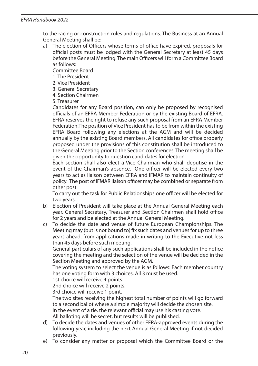to the racing or construction rules and regulations. The Business at an Annual General Meeting shall be:

a) The election of Officers whose terms of office have expired, proposals for official posts must be lodged with the General Secretary at least 45 days before the General Meeting. The main Officers will form a Committee Board as follows:

Committee Board

- 1. The President
- 2. Vice President
- 3. General Secretary
- 4. Section Chairmen

5. Treasurer

 Candidates for any Board position, can only be proposed by recognised officials of an EFRA Member Federation or by the existing Board of EFRA. EFRA reserves the right to refuse any such proposal from an EFRA Member Federation.The position of Vice President has to be from within the existing EFRA Board following any elections at the AGM and will be decided annually by the existing Board members. All candidates for office properly proposed under the provisions of this constitution shall be introduced to the General Meeting prior to the Section conferences. The meeting shall be given the opportunity to question candidates for election.

 Each section shall also elect a Vice Chairman who shall deputise in the event of the Chairman's absence. One officer will be elected every two years to act as liaison between EFRA and IFMAR to maintain continuity of policy. The post of IFMAR liaison officer may be combined or separate from other post.

 To carry out the task for Public Relationships one officer will be elected for two years.

- b) Election of President will take place at the Annual General Meeting each year. General Secretary, Treasurer and Section Chairmen shall hold office for 2 years and be elected at the Annual General Meeting.
- c) To decide the date and venue of future European Championships. The Meeting may (but is not bound to) fix such dates and venues for up to three years ahead, from applications made in writing to the Executive not less than 45 days before such meeting.

 General particulars of any such applications shall be included in the notice covering the meeting and the selection of the venue will be decided in the Section Meeting and approved by the AGM.

 The voting system to select the venue is as follows: Each member country has one voting form with 3 choices. All 3 must be used.

1st choice will receive 4 points.

2nd choice will receive 2 points.

3rd choice will receive 1 point.

 The two sites receiving the highest total number of points will go forward to a second ballot where a simple majority will decide the chosen site. In the event of a tie, the relevant official may use his casting vote. All balloting will be secret, but results will be published.

- d) To decide the dates and venues of other EFRA-approved events during the following year, including the next Annual General Meeting if not decided previously.
- e) To consider any matter or proposal which the Committee Board or the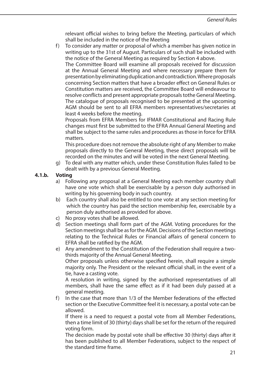relevant official wishes to bring before the Meeting, particulars of which shall be included in the notice of the Meeting

f) To consider any matter or proposal of which a member has given notice in writing up to the 31st of August. Particulars of such shall be included with the notice of the General Meeting as required by Section 4 above.

 The Committee Board will examine all proposals received for discussion at the Annual General Meeting and where necessary prepare them for presentation by eliminating duplication and contradiction. Where proposals concerning Section matters that have a broader effect on General Rules or Constitution matters are received, the Committee Board will endeavour to resolve conflicts and present appropriate proposals tothe General Meeting. The catalogue of proposals recognised to be presented at the upcoming AGM should be sent to all EFRA members representatives/secretaries at least 4 weeks before the meeting.

 Proposals from EFRA Members for IFMAR Constitutional and Racing Rule changes must first be submitted to the EFRA Annual General Meeting and shall be subject to the same rules and procedures as those in force for EFRA matters.

 This procedure does not remove the absolute right of any Member to make proposals directly to the General Meeting, these direct proposals will be recorded on the minutes and will be voted in the next General Meeting.

g) To deal with any matter which, under these Constitution Rules failed to be dealt with by a previous General Meeting.

### **4.1.b. Voting**

- a) Following any proposal at a General Meeting each member country shall have one vote which shall be exercisable by a person duly authorised in writing by his governing body in such country.
- b) Each country shall also be entitled to one vote at any section meeting for which the country has paid the section membership fee, exercisable by a person duly authorised as provided for above.
- c) No proxy votes shall be allowed.
- d) Section meetings shall form part of the AGM. Voting procedures for the Section meetings shall be as for the AGM. Decisions of the Section meetings relating to the Technical Rules or Financial affairs of general concern to EFRA shall be ratified by the AGM.
- e) Any amendment to the Constitution of the Federation shall require a twothirds majority of the Annual General Meeting. Other proposals unless otherwise specified herein, shall require a simple majority only. The President or the relevant official shall, in the event of a tie, have a casting vote.

 A resolution in writing, signed by the authorised representatives of all members, shall have the same effect as if it had been duly passed at a general meeting.

f) In the case that more than 1/3 of the Member federations of the effected section or the Executive Committee feel it is necessary, a postal vote can be allowed.

 If there is a need to request a postal vote from all Member Federations, then a time limit of 30 (thirty) days shall be set for the return of the required voting form.

 The decision made by postal vote shall be effective 30 (thirty) days after it has been published to all Member Federations, subject to the respect of the standard time frame.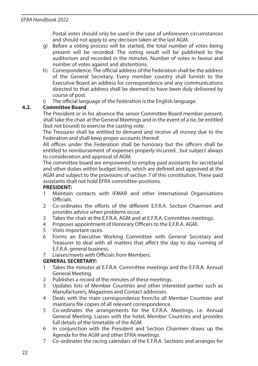Postal votes should only be used in the case of unforeseen circumstances and should not apply to any decision taken at the last AGM.

- g) Before a voting process will be started, the total number of votes being present will be recorded. The voting result will be published to the auditorium and recorded in the minutes. Number of votes in favour and number of votes against and abstentions.
- h) Correspondence: The official address of the Federation shall be the address of the General Secretary. Every member country shall furnish to the Executive Board an address for correspondence and any communications directed to that address shall be deemed to have been duly delivered by course of post.
- i) The official language of the Federation is the English language.

### **4.2. Committee Board**

 The President or in his absence the senior Committee Board member present, shall take the chair at the General Meetings and in the event of a tie, be entitled (but not bound) to exercise the casting vote.

 The Treasurer shall be entitled to demand and receive all money due to the Federation and shall keep proper accounts thereof.

 All offices under the Federation shall be honorary but the officers shall be entitled to reimbursement of expenses properly incurred , but subject always to consideration and approval of AGM.

 The committee board are empowered to employ paid assistants for secretarial and other duties within budget limits, which are defined and approved at the AGM and subject to the provisions of section 7 of this constitution. These paid assistants shall not hold EFRA committee-positions.

#### **PRESIDENT:**

- 1 Maintain contacts with IFMAR and other International Organisations **Officials**
- 2 Co-ordinates the efforts of the different F.F.R.A. Section Chairmen and provides advice when problems occur.
- 3 Takes the chair at the E.F.R.A. AGM and at E.F.R.A. Committee meetings.
- 4 Proposes appointment of Honorary Officers to the E.F.R.A. AGM.
- 5 Visits important races.
- 6 Forms an Executive Working Committee with General Secretary and Treasurer to deal with all matters that affect the day to day running of E.F.R.A. general business.
- 7 Liaises/meets with Officials from Members.

### **GENERAL SECRETARY:**

- Takes the minutes at E.F.R.A. Committee meetings and the E.F.R.A. Annual General Meeting.
- 2 Publishes a record of the minutes of these meetings.
- 3 Updates lists of Member Countries and other interested parties such as Manufacturers, Magazines and Contact addresses.
- 4 Deals with the main correspondence from/to all Member Countries and maintains file copies of all relevant correspondence.
- 5 Co-ordinates the arrangements for the E.F.R.A. Meetings, i.e. Annual General Meeting. Liaises with the hotel, Member Countries and provides full details of the timetable of the AGM.
- 6 In conjunction with the President and Section Chairmen draws up the Agenda for the AGM and other EFRA meetings.
- 7 Co-ordinates the racing calendars of the E.F.R.A. Sections and arranges for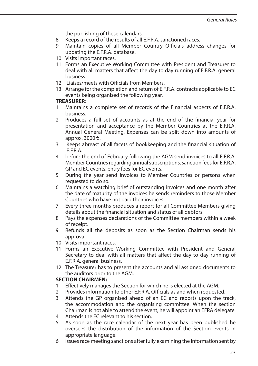the publishing of these calendars.

- 8 Keeps a record of the results of all E.F.R.A. sanctioned races.
- 9 Maintain copies of all Member Country Officials address changes for updating the E.F.R.A. database.
- 10 Visits important races.
- 11 Forms an Executive Working Committee with President and Treasurer to deal with all matters that affect the day to day running of E.F.R.A. general business.
- 12 Liaises/meets with Officials from Members.
- 13 Arrange for the completion and return of E.F.R.A. contracts applicable to EC events being organised the following year.

### **TREASURER**:

- 1 Maintains a complete set of records of the Financial aspects of E.F.R.A. business.
- 2 Produces a full set of accounts as at the end of the financial year for presentation and acceptance by the Member Countries at the E.F.R.A. Annual General Meeting. Expenses can be split down into amounts of approx. 3000 €.
- 3 Keeps abreast of all facets of bookkeeping and the financial situation of E.F.R.A.
- 4 before the end of February following the AGM send invoices to all E.F.R.A. Member Countries regarding annual subscriptions, sanction fees for E.F.R.A. GP and EC events, entry fees for EC events.
- 5 During the year send invoices to Member Countries or persons when requested to do so.
- 6 Maintains a watching brief of outstanding invoices and one month after the date of maturity of the invoices he sends reminders to those Member Countries who have not paid their invoices.
- 7 Every three months produces a report for all Committee Members giving details about the financial situation and status of all debtors.
- 8 Pays the expenses declarations of the Committee members within a week of receipt.
- 9 Refunds all the deposits as soon as the Section Chairman sends his approval.
- 10 Visits important races.
- 11 Forms an Executive Working Committee with President and General Secretary to deal with all matters that affect the day to day running of E.F.R.A. general business.
- 12 The Treasurer has to present the accounts and all assigned documents to the auditors prior to the AGM.

### **SECTION CHAIRMEN:**

- 1 Effectively manages the Section for which he is elected at the AGM.
- 2 Provides information to other E.F.R.A. Officials as and when requested.
- 3 Attends the GP organised ahead of an EC and reports upon the track, the accommodation and the organising committee. When the section Chairman is not able to attend the event, he will appoint an EFRA delegate.
- 4 Attends the EC relevant to his section.
- 5 As soon as the race calendar of the next year has been published he oversees the distribution of the information of the Section events in appropriate language.
- 6 Issues race meeting sanctions after fully examining the information sent by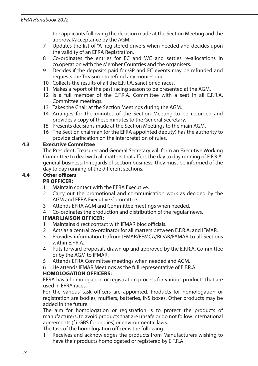the applicants following the decision made at the Section Meeting and the approval/acceptance by the AGM.

- 7 Updates the list of "A" registered drivers when needed and decides upon the validity of an EFRA Registration.
- 8 Co-ordinates the entries for EC and WC and settles re-allocations in co.operation with the Member Countries and the organisers.
- 9 Decides if the deposits paid for GP and EC events may be refunded and requests the Treasurer to refund any monies due.
- 10 Collects the results of all the E.F.R.A. sanctioned races.
- 11 Makes a report of the past racing season to be presented at the AGM.
- 12 Is a full member of the E.F.R.A. Committee with a seat in all E.F.R.A. Committee meetings.
- 13 Takes the Chair at the Section Meetings during the AGM.
- 14 Arranges for the minutes of the Section Meeting to be recorded and provides a copy of these minutes to the General Secretary.
- 15 Presents decisions made at the Section Meetings to the main AGM.
- 16 The Section chairman (or the EFRA appointed deputy) has the authority to provide clarification on the interpretation of rules.

#### **4.3 Executive Committee**

 The President, Treasurer and General Secretary will form an Executive Working Committee to deal with all matters that affect the day to day running of E.F.R.A. general business. In regards of section business, they must be informed of the day to day running of the different sections.

### **4.4 Other officers**

## **PR OFFICER:**

- 1 Maintain contact with the EFRA Executive.
- 2 Carry out the promotional and communication work as decided by the AGM and EFRA Executive Committee.
- 3 Attends EFRA AGM and Committee meetings when needed.
- 4 Co-ordinates the production and distribution of the regular news.

#### **IFMAR LIAISON OFFICER:**

- 1 Maintains direct contact with IFMAR bloc officials.
- 2 Acts as a central co-ordinator for all matters between E.F.R.A. and IFMAR.
- 3 Provides information to/from IFMAR/FEMCA/ROAR/FAMAR to all Sections within E.F.R.A.
- 4 Puts forward proposals drawn up and approved by the E.F.R.A. Committee or by the AGM to IFMAR.
- 5 Attends EFRA Committee meetings when needed and AGM.
- 6 He attends IFMAR Meetings as the full representative of E.F.R.A.

#### **HOMOLOGATION OFFICERS:**

 EFRA has a homologation or registration process for various products that are used in EFRA races.

 For the various task officers are appointed. Products for homologation or registration are bodies, mufflers, batteries, INS boxes. Other products may be added in the future.

 The aim for homologation or registration is to protect the products of manufacturers, to avoid products that are unsafe or do not follow international agreements (f.i. GBS for bodies) or environmental laws.

The task of the homologation officer is the following

1 Receives and acknowledges the products from Manufacturers wishing to have their products homologated or registered by E.F.R.A.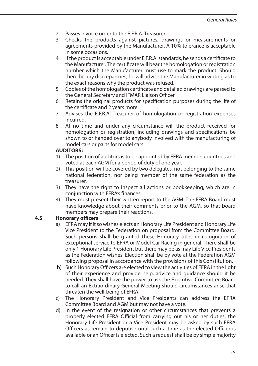- 2 Passes invoice order to the E.F.R.A. Treasurer.<br>3 Checks the products against pictures dra
- 3 Checks the products against pictures, drawings or measurements or agreements provided by the Manufacturer. A 10% tolerance is acceptable in some occasions.
- 4 If the product is acceptable under E.F.R.A. standards, he sends a certificate to the Manufacturer. The certificate will bear the homologation or registration number which the Manufacturer must use to mark the product. Should there be any discrepancies, he will advise the Manufacturer in writing as to the exact reasons why the product was refused.
- 5 Copies of the homologation certificate and detailed drawings are passed to the General Secretary and IFMAR Liaison Officer.
- 6 Retains the original products for specification purposes during the life of the certificate and 2 years more.
- 7 Advises the E.F.R.A. Treasurer of homologation or registration expenses incurred.
- 8 At no time and under any circumstance will the product received for homologation or registration, including drawings and specifications be shown to or handed over to anybody involved with the manufacturing of model cars or parts for model cars.

#### **AUDITORS:**

- 1) The position of auditors is to be appointed by EFRA member countries and voted at each AGM for a period of duty of one year.
- 2) This position will be covered by two delegates, not belonging to the same national federation, nor being member of the same federation as the treasurer.
- 3) They have the right to inspect all actions or bookkeeping, which are in conjunction with EFRA's finances.
- 4) They must present their written report to the AGM. The EFRA Board must have knowledge about their comments prior to the AGM, so that board members may prepare their reactions.

### **4.5 Honorary officers**

- a) EFRA may if it so wishes elects an Honorary Life President and Honorary Life Vice President to the Federation on proposal from the Committee Board. Such persons shall be granted these Honorary titles in recognition of exceptional service to EFRA or Model Car Racing in general. There shall be only 1 Honorary Life President but there may be as may Life Vice Presidents as the Federation wishes. Election shall be by vote at the Federation AGM following proposal in accordance with the provisions of this Constitution.
- b) Such Honorary Officers are elected to view the activities of EFRA in the light of their experience and provide help, advice and guidance should it be needed. They shall have the power to ask the Executive Committee Board to call an Extraordinary General Meeting should circumstances arise that threaten the well-being of EFRA.
- c) The Honorary President and Vice Presidents can address the EFRA Committee Board and AGM but may not have a vote.
- d) In the event of the resignation or other circumstances that prevents a properly elected EFRA Official from carrying out his or her duties, the Honorary Life President or a Vice President may be asked by such EFRA Officers as remain to deputise until such a time as the elected Officer is available or an Officer is elected. Such a request shall be by simple majority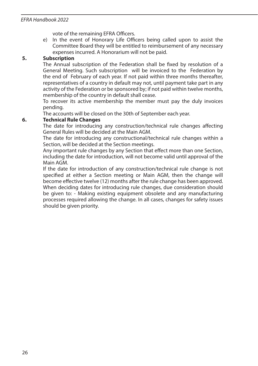vote of the remaining EFRA Officers.

e) In the event of Honorary Life Officers being called upon to assist the Committee Board they will be entitled to reimbursement of any necessary expenses incurred. A Honorarium will not be paid.

#### **5. Subscription**

 The Annual subscription of the Federation shall be fixed by resolution of a General Meeting. Such subscription will be invoiced to the Federation by the end of February of each year. If not paid within three months thereafter, representatives of a country in default may not, until payment take part in any activity of the Federation or be sponsored by; if not paid within twelve months, membership of the country in default shall cease.

 To recover its active membership the member must pay the duly invoices pending.

The accounts will be closed on the 30th of September each year.

#### **6. Technical Rule Changes**

 The date for introducing any construction/technical rule changes affecting General Rules will be decided at the Main AGM.

 The date for introducing any constructional/technical rule changes within a Section, will be decided at the Section meetings.

 Any important rule changes by any Section that effect more than one Section, including the date for introduction, will not become valid until approval of the Main AGM.

 If the date for introduction of any construction/technical rule change is not specified at either a Section meeting or Main AGM, then the change will become effective twelve (12) months after the rule change has been approved. When deciding dates for introducing rule changes, due consideration should be given to: - Making existing equipment obsolete and any manufacturing processes required allowing the change. In all cases, changes for safety issues should be given priority.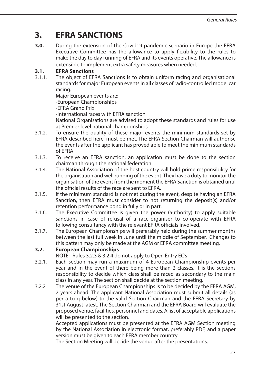### **3. EFRA SANCTIONS**

**3.0.** During the extension of the Covid19 pandemic scenario in Europe the EFRA Executive Committee has the allowance to apply flexibility to the rules to make the day to day running of EFRA and its events operative. The allowance is extensible to implement extra safety measures when needed.

### **3.1. EFRA Sanctions**

3.1.1. The object of EFRA Sanctions is to obtain uniform racing and organisational standards for major European events in all classes of radio-controlled model car racing.

 Major European events are: -European Championships

-EFRA Grand Prix

-International races with EFRA sanction

 National Organisations are advised to adopt these standards and rules for use at Premier level national championships

- 3.1.2. To ensure the quality of these major events the minimum standards set by EFRA described here, must be met. The EFRA Section Chairman will authorise the events after the applicant has proved able to meet the minimum standards of EFRA.
- 3.1.3. To receive an EFRA sanction, an application must be done to the section chairman through the national federation.
- 3.1.4. The National Association of the host country will hold prime responsibility for the organisation and well running of the event. They have a duty to monitor the organisation of the event from the moment the EFRA Sanction is obtained until the official results of the race are sent to EFRA.
- 3.1.5. If the minimum standard is not met during the event, despite having an EFRA Sanction, then EFRA must consider to not returning the deposit(s) and/or retention performance bond in fully or in part.
- 3.1.6. The Executive Committee is given the power (authority) to apply suitable sanctions in case of refusal of a race-organiser to co-operate with EFRA following consultancy with the relevant EFRA officials involved.
- 3.1.7. The European Championships will preferably held during the summer months between the last full week in June until the middle of September. Changes to this pattern may only be made at the AGM or EFRA committee meeting.

### **3.2. European Championships**

NOTE:- Rules 3.2.3 & 3.2.4 do not apply to Open Entry EC's

- 3.2.1. Each section may run a maximum of 4 European Championship events per year and in the event of there being more than 2 classes, it is the sections responsibility to decide which class shall be raced as secondary to the main class in any year. The section shall decide at the section meeting.
- 3.2.2 The venue of the European Championships is to be decided by the EFRA AGM, 2 years ahead. The applicant National Association must submit all details (as per a to q below) to the valid Section Chairman and the EFRA Secretary by 31st August latest. The Section Chairman and the EFRA Board will evaluate the proposed venue, facilities, personnel and dates. A list of acceptable applications will be presented to the section.

 Accepted applications must be presented at the EFRA AGM Section meeting by the National Association in electronic format, preferably PDF, and a paper version must be given to each EFRA member country.

The Section Meeting will decide the venue after the presentations.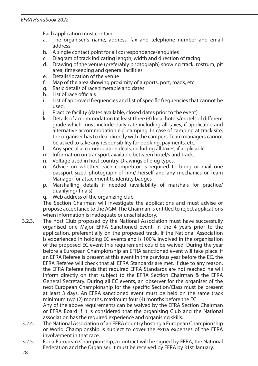Each application must contain:

- a. The organiser´s name, address, fax and telephone number and email address.
- b. A single contact point for all correspondence/enquiries
- c. Diagram of track indicating length, width and direction of racing
- d. Drawing of the venue (preferably photograph) showing track, rostrum, pit area, timekeeping and general facilities
- e. Details/location of the venue
- f. Map of the area showing proximity of airports, port, roads, etc.
- g. Basic details of race timetable and dates
- h. List of race officials
- i. List of approved frequencies and list of specific frequencies that cannot be used.
- j. Practice facility (dates available, closed dates prior to the event)
- k. Details of accommodation (at least three (3) local hotels/motels of different grade which must include daily rate including all taxes, if applicable and alternative accommodation e.g. camping. In case of camping at track site, the organiser has to deal directly with the campers. Team managers cannot be asked to take any responsibility for booking, payments, etc.
- l. Any special accommodation deals, including all taxes, if applicable.
- m. Information on transport available between hotel/s and track.
- n. Voltage used in host country. Drawings of plug types.
- o. Advice on whether each competitor is required to bring or mail one passport sized photograph of him/ herself and any mechanics or Team Manager for attachment to identity badges
- p. Marshalling details if needed (availability of marshals for practice/ qualifying/ finals).
- q. Web address of the organizing club

 The Section Chairman will investigate the applications and must advise or propose acceptance to the AGM. The Chairman is entitled to reject applications when information is inadequate or unsatisfactory.

3.2.3. The host Club proposed by the National Association must have successfully organised one Major EFRA Sanctioned event, in the 4 years prior to the application, preferentially on the proposed track. If the National Association is experienced in holding EC events and is 100% involved in the organisation of the proposed EC event this requirement could be waived. During the year before a European Championship an EFRA sanctioned event will take place. If an EFRA Referee is present at this event in the previous year before the EC, the EFRA Referee will check that all EFRA Standards are met. If due to any reason, the EFRA Referee finds that required EFRA Standards are not reached he will inform directly on that subject to the EFRA Section Chairman & the EFRA General Secretary. During all EC events, an observer for the organiser of the next European Championship for the specific Section/Class must be present at least 3 days. An EFRA sanctioned event must be held on the same track minimum two (2) months, maximum four (4) months before the EC.

 Any of the above requirements can be waived by the EFRA Section Chairman or EFRA Board if it is considered that the organising Club and the National association has the required experience and organising skills.

- 3.2.4. The National Association of an EFRA country hosting a European Championship or World Championship is subject to cover the extra expenses of the EFRA involvement in that race.
- 3.2.5. For a European Championship, a contract will be signed by EFRA, the National Federation and the Organiser. It must be received by EFRA by 31st January.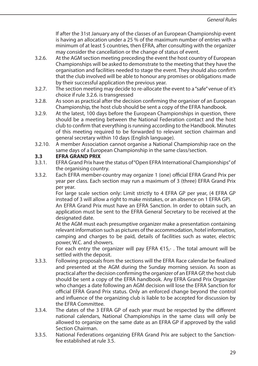If after the 31st January any of the classes of an European Championship event is having an allocation under a 25 % of the maximum number of entries with a minimum of at least 5 countries, then EFRA, after consulting with the organizer may consider the cancellation or the change of status of event.

- 3.2.6. At the AGM section meeting preceding the event the host country of European Championships will be asked to demonstrate to the meeting that they have the organisation and facilities needed to stage the event. They should also confirm that the club involved will be able to honour any promises or obligations made by their successful application the previous year.
- 3.2.7. The section meeting may decide to re-allocate the event to a "safe" venue of it's choice if rule 3.2.6. is transgressed
- 3.2.8. As soon as practical after the decision confirming the organiser of an European Championship, the host club should be sent a copy of the EFRA handbook.
- 3.2.9. At the latest, 100 days before the European Championships in question, there should be a meeting between the National Federation contact and the host club to confirm that everything is running according to the Handbook. Minutes of this meeting required to be forwarded to relevant section chairman and general secretary within 10 days (English language).
- 3.2.10. A member Association cannot organise a National Championship race on the same days of a European Championship in the same class/section.

### **3.3 EFRA GRAND PRIX**

- 3.3.1. EFRA Grand Prix have the status of "Open EFRA International Championships" of the organising country.
- 3.3.2. Each EFRA member-country may organize 1 (one) official EFRA Grand Prix per year per class. Each section may run a maximum of 3 (three) EFRA Grand Prix per year.

 For large scale section only: Limit strictly to 4 EFRA GP per year, (4 EFRA GP instead of 3 will allow a right to make mistakes, or an absence on 1 EFRA GP).

 An EFRA Grand Prix must have an EFRA Sanction. In order to obtain such, an application must be sent to the EFRA General Secretary to be received at the designated date.

 At the AGM must each presumptive organizer make a presentation containing relevant information such as pictures of the accommodation, hotel information, camping and charges to be paid, details of facilities such as water, electric power, W.C. and showers.

For each entry the organizer will pay EFRA  $E15,-$ . The total amount will be settled with the deposit.

- 3.3.3. Following proposals from the sections will the EFRA Race calendar be finalized and presented at the AGM during the Sunday morning session. As soon as practical after the decision confirming the organizer of an EFRA GP, the host club should be sent a copy of the EFRA handbook. Any EFRA Grand Prix Organizer who changes a date following an AGM decision will lose the EFRA Sanction for official EFRA Grand Prix status. Only an enforced change beyond the control and influence of the organizing club is liable to be accepted for discussion by the EFRA Committee.
- 3.3.4. The dates of the 3 EFRA GP of each year must be respected by the different national calendars, National Championships in the same class will only be allowed to organize on the same date as an EFRA GP if approved by the valid Section Chairman.
- 3.3.5. National Federations organizing EFRA Grand Prix are subject to the Sanctionfee established at rule 3.5.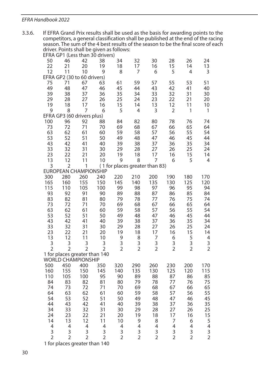3.3.6. If EFRA Grand Prix results shall be used as the basis for awarding points to the competitors, a general classification shall be published at the end of the racing season. The sum of the 4 best results of the season to be the final score of each driver. Points shall be given as follows:

|                |                              |                | EFRA GP1 (Less than 30 drivers) |                                |                         |                          |                          |                |                                                       |
|----------------|------------------------------|----------------|---------------------------------|--------------------------------|-------------------------|--------------------------|--------------------------|----------------|-------------------------------------------------------|
| 50             | 46                           | 42             | 38                              | 34                             | 32                      | 30                       | 28                       | 26             | 24                                                    |
| 22             | 21                           | 20             | 19                              | 18                             | 17                      | 16                       | 15                       | 14             | 13                                                    |
| 12             | 11                           | 10             | 9                               | 8                              | 7                       | 6                        | 5                        | 4              | 3                                                     |
|                | EFRA GP2 (30 to 60 drivers)  |                |                                 |                                |                         |                          |                          |                |                                                       |
| 75             | 71                           | 67             | 63                              | 61                             | 59                      | 57                       | 55                       | 53             | 51                                                    |
| 49             | 48                           | 47             | 46                              | 45                             | 44                      | 43                       | 42                       | 41             | 40                                                    |
| 39             | 38                           | 37             | 36                              | 35                             | 34                      | 33                       | 32                       | 31             | 30                                                    |
| 29             | 28                           | 27             | 26                              | 25                             | 24                      | 23                       | 22                       | 21             | 20                                                    |
| 19             | 18                           | 17             | 16                              | 15                             | 14                      | 13                       | 12                       | 11             | 10                                                    |
| 9              | 8                            | 7              | 6                               | 5                              | 4                       | 3                        | $\overline{2}$           | 1              | 1                                                     |
|                | EFRA GP3 (60 drivers plus)   |                |                                 |                                |                         |                          |                          |                |                                                       |
| 100            | 96                           | 92             | 88                              | 84                             | 82                      | 80                       | 78                       | 76             | 74                                                    |
| 73<br>63       | 72<br>62                     | 71<br>61       | 70<br>60                        | 69<br>59                       | 68<br>58                | 67<br>57                 | 66<br>56                 | 65<br>55       | 64<br>54                                              |
| 53             | 52                           | 51             | 50                              | 49                             | 48                      | 47                       | 46                       | 45             | 44                                                    |
| 43             | 42                           | 41             | 40                              | 39                             | 38                      | 37                       | 36                       | 35             | 34                                                    |
| 33             | 32                           | 31             | 30                              | 29                             | 28                      | 27                       | 26                       | 25             | 24                                                    |
| 23             | 22                           | 21             | 20                              | 19                             | 18                      | 17                       | 16                       | 15             | 14                                                    |
| 13             | 12                           | 11             | 10                              | 9                              | 8                       | 7                        | 6                        | 5              | $\overline{4}$                                        |
| 3              | $\overline{2}$               | 1              |                                 | (1 for places greater than 83) |                         |                          |                          |                |                                                       |
|                | <b>EUROPEAN CHAMPIONSHIP</b> |                |                                 |                                |                         |                          |                          |                |                                                       |
| 300            | 280                          | 260            | 240                             | 220                            | 210                     | 200                      | 190                      | 180            | 170                                                   |
| 165            | 160                          | 155            | 150                             | 145                            | 140                     | 135                      | 130                      | 125            | 120                                                   |
| 115            | 110                          | 105            | 100                             | 99                             | 98                      | 97                       | 96                       | 95             | 94                                                    |
| 93             | 92                           | 91             | 90                              | 89                             | 88                      | 87                       | 86                       | 85             | 84                                                    |
| 83             | 82                           | 81             | 80                              | 79                             | 78                      | 77                       | 76                       | 75             | 74                                                    |
| 73             | 72                           | 71             | 70                              | 69                             | 68                      | 67                       | 66                       | 65             | 64                                                    |
| 63             | 62                           | 61             | 60                              | 59                             | 58                      | 57                       | 56                       | 55             | 54                                                    |
| 53             | 52                           | 51             | 50                              | 49                             | 48                      | 47                       | 46                       | 45             | 44                                                    |
| 43             | 42                           | 41             | 40                              | 39                             | 38                      | 37                       | 36                       | 35             | 34                                                    |
| 33             | 32                           | 31             | 30                              | 29                             | 28                      | 27                       | 26                       | 25             | 24                                                    |
| 23             | 22                           | 21             | 20                              | 19                             | 18                      | 17                       | 16                       | 15             | 14                                                    |
| 13             | 12                           | 11             | 10                              | 9                              | 8                       | 7                        | 6                        | 5              | 4                                                     |
| 3              | 3                            | 3              | 3                               | 3                              | 3                       | 3                        | 3                        | 3              | 3                                                     |
| $\overline{2}$ | $\overline{2}$               | $\overline{2}$ | $\overline{2}$                  | $\overline{2}$                 | $\overline{2}$          | $\overline{2}$           | $\overline{2}$           | $\overline{2}$ | $\overline{2}$                                        |
|                |                              |                | 1 for places greater than 140   |                                |                         |                          |                          |                |                                                       |
|                | <b>WORLD CHAMPIONSHIP</b>    |                |                                 |                                |                         |                          |                          |                |                                                       |
| 500            | 450                          | 400            | 350                             | 320                            | 290                     | 260                      | 230                      | 200            | 170                                                   |
| 160            | 155                          | 150            | 145                             | 140                            | 135                     | 130                      | 125                      | 120            | 115                                                   |
| 110            | 105                          | 100            | 95                              | 90                             | 89                      | 88                       | 87                       | 86             | 85                                                    |
| 84             | 83                           | 82             | 81                              | 80                             | 79                      | 78                       | 77                       | 76             | 75                                                    |
| 74             | 73                           | 72             | 71                              | 70                             | 69                      | 68                       | 67                       | 66             | 65                                                    |
| 64<br>54       | 63<br>53                     | 62             | 61                              | 60                             | 59                      | 58                       | 57                       | 56             | 55                                                    |
|                |                              | 52             | 51                              | 50                             | 49                      | 48                       | 47                       | 46             | 45<br>35                                              |
| 44<br>34       | 43<br>33                     | 42<br>32       | 41<br>31                        | 40<br>30                       | 39<br>29                | 38<br>28                 | 37<br>27                 | 36<br>26       | 25                                                    |
| 24             | 23                           | 22             | 21                              | 20                             | 19                      | 18                       | 17                       |                |                                                       |
| 14             | 13                           | 12             | 11                              | 10                             | 9                       | 8                        | 7                        | 16<br>6        |                                                       |
| 4              | 4                            | 4              | 4                               | 4                              | $\overline{\mathbf{4}}$ | $\overline{\mathcal{L}}$ | $\overline{\mathcal{L}}$ | 4              |                                                       |
| 3              | 3                            | 3              | 3                               | 3                              | 3                       | 3                        | 3                        | 3              |                                                       |
| $\overline{2}$ | $\overline{2}$               | $\overline{2}$ | $\overline{2}$                  | $\overline{2}$                 | $\overline{2}$          | $\overline{2}$           | $\overline{2}$           | $\overline{2}$ | $\begin{array}{c} 15 \\ 5 \\ 4 \\ 3 \\ 2 \end{array}$ |
|                |                              |                |                                 |                                |                         |                          |                          |                |                                                       |

1 for places greater than 140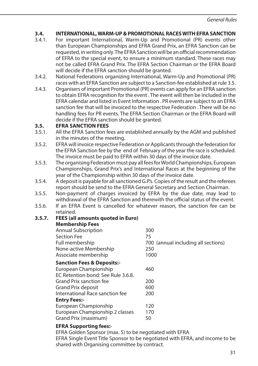# **3.4. INTERNATIONAL, WARM-UP & PROMOTIONAL RACES WITH EFRA SANCTION**<br>3.4.1 For important International Warm-Up and Promotional (PR) events other

- 3.4.1. For important International, Warm-Up and Promotional (PR) events other than European Championships and EFRA Grand Prix, an EFRA Sanction can be requested, in writing only. The EFRA Sanction will be an official recommendation of EFRA to the special event, to ensure a minimum standard. These races may not be called EFRA Grand Prix. The EFRA Section Chairman or the EFRA Board will decide if the EFRA sanction should be granted.
- 3.4.2. National Federations organizing International, Warm-Up and Promotional (PR) races with an EFRA Sanction are subject to a Sanction-fee established at rule 3.5.
- 3.4.3. Organisers of important Promotional (PR) events can apply for an EFRA sanction to obtain EFRA recognition for the event . The event will then be included in the EFRA calendar and listed in Event Information . PR events are subject to an EFRA sanction fee that will be invoiced to the respective Federation . There will be no handling fees for PR events. The EFRA Section Chairman or the EFRA Board will decide if the EFRA sanction should be granted.

# **3.5. EFRA SANCTION FEES**<br>3.5.1 All the FFRA Sanction fe

- All the EFRA Sanction fees are established annually by the AGM and published in the minutes of the meeting.
- 3.5.2. EFRA will invoice respective Federation or Applicants through the federation for the EFRA Sanction fee by the end of February of the year the race is scheduled. The invoice must be paid to EFRA within 30 days of the invoice date.
- 3.5.3. The organising Federation must pay all fees for World Championships, European Championships, Grand Prix's and International Races at the beginning of the year of the Championship within 30 days of the invoice date.
- 3.5.4. A deposit is payable for all sanctioned G.P.'s. Copies of the result and the referees report should be send to the EFRA General Secretary and Section Chairman.
- 3.5.5. Non-payment of charges invoiced by EFRA by the due date, may lead to withdrawal of the EFRA Sanction and therewith the official status of the event.
- 3.5.6. If an EFRA Event is cancelled for whatever reason, the sanction fee can be retained.

#### **3.5.7. FEES (all amounts quoted in Euro)**

| <b>Membership Fees</b>                |                                     |
|---------------------------------------|-------------------------------------|
| <b>Annual Subscription</b>            | 300                                 |
| <b>Section Fee</b>                    | 75                                  |
| Full membership                       | 700 (annual including all sections) |
| None-active Membership                | 250                                 |
| Associate membership                  | 1000                                |
| <b>Sanction Fees &amp; Deposits:-</b> |                                     |
| European Championship                 | 460                                 |
| EC Retention bond: See Rule 3.6.8.    |                                     |
| Grand Prix sanction fee               | 200                                 |
| Grand Prix deposit                    | 600                                 |
| International Race sanction fee       | 200                                 |
| <b>Entry Fees:-</b>                   |                                     |
| European Championship                 | 120                                 |
| European Championship 2 classes       | 170                                 |
| Grand Prix (maximum)                  | 50                                  |
| <b>EFRA Supporting fees:-</b>         |                                     |

EFRA Golden Sponsor (max. 5) to be negotiated with EFRA EFRA Single Event Title Sponsor to be negotiated with EFRA, and income to be shared with Organising committee by contract.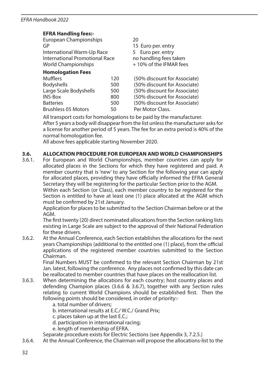### **EFRA Handling fees:-**

| European Championships         | 20                     |                              |  |  |
|--------------------------------|------------------------|------------------------------|--|--|
| GP                             | 15 Euro per. entry     |                              |  |  |
| International Warm-Up Race     |                        | 5 Euro per, entry            |  |  |
| International Promotional Race |                        | no handling fees taken       |  |  |
| World Championships            | +10% of the IFMAR fees |                              |  |  |
| <b>Homologation Fees</b>       |                        |                              |  |  |
| <b>Mufflers</b>                | 120                    | (50% discount for Associate) |  |  |
| <b>Bodyshells</b>              | 500                    | (50% discount for Associate) |  |  |
| Large Scale Bodyshells         | 500                    | (50% discount for Associate) |  |  |
| <b>INS-Box</b>                 | 800                    | (50% discount for Associate) |  |  |
| <b>Batteries</b>               | 500                    | (50% discount for Associate) |  |  |
| <b>Brushless 05 Motors</b>     | 50                     | Per Motor Class.             |  |  |
|                                |                        |                              |  |  |

All transport costs for homologations to be paid by the manufacturer. After 5 years a body will disappear from the list unless the manufacturer asks for a license for another period of 5 years. The fee for an extra period is 40% of the normal homologation fee.

All above fees applicable starting November 2020.

#### **3.6. ALLOCATION PROCEDURE FOR EUROPEAN AND WORLD CHAMPIONSHIPS**

3.6.1. For European and World Championships, member countries can apply for allocated places in the Sections for which they have registered and paid. A member country that is 'new' to any Section for the following year can apply for allocated places, providing they have officially informed the EFRA General Secretary they will be registering for the particular Section prior to the AGM. Within each Section (or Class), each member country to be registered for the Section is entitled to have at least one (1) place allocated at the AGM which

must be confirmed by 21st January.

 Application for places to be submitted to the Section Chairman before or at the AGM.

 The first twenty (20) direct nominated allocations from the Section ranking lists existing in Large Scale are subject to the approval of their National Federation for these drivers.

3.6.2. At the Annual Conference, each Section establishes the allocations for the next years Championships (additional to the entitled one (1) place), from the official applications of the registered member countries submitted to the Section Chairman.

 Final Numbers MUST be confirmed to the relevant Section Chairman by 21st Jan. latest, following the conference. Any places not confirmed by this date can be reallocated to member countries that have places on the reallocation list.

- 3.6.3. When determining the allocations for each country; host country places and defending Champion places (3.6.6 & 3.6.7), together with any Section rules relating to current World Champions should be established first. Then the following points should be considered, in order of priority:
	- a. total number of drivers;
	- b. international results at E.C./ W.C./ Grand Prix;
	- c. places taken up at the last E.C.;
	- d. participation in international racing;
	- e. length of membership of EFRA.
	- Separate procedure exists for Electric Sections (see Appendix 3, 7.2.5.)
- 3.6.4. At the Annual Conference, the Chairman will propose the allocations-list to the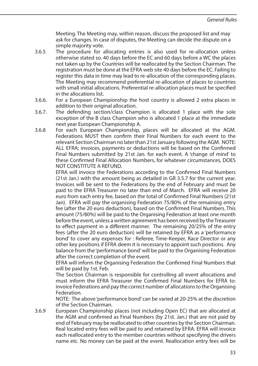Meeting. The Meeting may, within reason, discuss the proposed list and may ask for changes. In case of disputes, the Meeting can decide the dispute on a simple majority vote.

- 3.6.5 The procedure for allocating entries is also used for re-allocation unless otherwise stated so. 40 days before the EC and 60 days before a WC the places not taken up by the Countries will be reallocated by the Section Chairman. The registration must be done at the EFRA web site 40 days before the EC. Failing to register this data in time may lead to re-allocation of the corresponding places. The Meeting may recommend preferential re-allocation of places to countries with small initial allocations. Preferential re-allocation places must be specified in the allocations list.
- 3.6.6. For a European Championship the host country is allowed 2 extra places in addition to their original allocation.
- 3.6.7. The defending section/class Champion is allocated 1 place with the sole exception of the B class Champion who is allocated 1 place at the immediate next year European Championship A.
- 3.6.8 For each European Championship, places will be allocated at the AGM. Federations MUST then confirm their Final Numbers for each event to the relevant Section Chairman no later than 21st January following the AGM. NOTE: ALL EFRA; invoices, payments or deductions will be based on the Confirmed Final Numbers submitted by 21st Jan. for each event. A 'change of mind' to these Confirmed Final Allocation Numbers, for whatever circumstances, DOES NOT CONSTITUTE A REFUND.

 EFRA will invoice the Federations according to the Confirmed Final Numbers (21st Jan.) with the amount being as detailed in GR 3.5.7 for the current year. Invoices will be sent to the Federations by the end of February and must be paid to the EFRA Treasurer no later than end of March. EFRA will receive 20 euro from each entry fee, based on the total of Confirmed Final Numbers (21st Jan). EFRA will pay the organising Federation 75/80% of the remaining entry fee (after the 20 euro deduction), based on the Confirmed Final Numbers. This amount (75/80%) will be paid to the Organising Federation at least one month before the event, unless a written agreement has been received by the Treasurer to effect payment in a different manner. The remaining 20/25% of the entry fees (after the 20 euro deduction) will be retained by EFRA as a 'performance bond' to cover any expenses for : Referee, Time-Keeper, Race Director or any other key positions if EFRA deem it is necessary to appoint such positions. Any balance from the 'performance bond' will be paid to the Organising Federation after the correct completion of the event.

 EFRA will inform the Organising Federation the Confirmed Final Numbers that will be paid by 1st. Feb.

 The Section Chairman is responsible for controlling all event allocations and must inform the EFRA Treasurer the Confirmed Final Numbers for EFRA to: invoice Federations and pay the correct number of allocations to the Organising Federation.

 NOTE: The above 'performance bond' can be varied at 20-25% at the discretion of the Section Chairman.

3.6.9 European Championship places (not including Open EC) that are allocated at the AGM and confirmed as Final Numbers (by 21st. Jan.) that are not paid by end of February may be reallocated to other countries by the Section Chairman. Real located entry fees will be paid to and retained by EFRA. EFRA will invoice each reallocated entry to the member countries without specifying the drivers name etc. No money can be paid at the event. Reallocation entry fees will be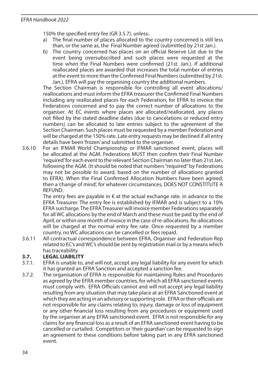150% the specified entry fee (GR 3.5.7), unless:.

- a) The final number of places allocated to the country concerned is still less than, or the same as, the Final Number agreed (submitted by 21st Jan.).
- b) The country concerned has places on an official Reserve List due to the event being oversubscribed and such places were requested at the time when the Final Numbers were confirmed (21st. Jan.). If additional reallocated places are awarded that increases the total number of entries at the event to more than the Confirmed Final Numbers (submitted by 21st. Jan.), EFRA will pay the organising country the additional numbers.

 The Section Chairman is responsible for controlling all event allocations/ reallocations and must inform the EFRA treasurer the Confirmed Final Numbers including any reallocated places for each Federation, for EFRA to invoice the Federations concerned and to pay the correct number of allocations to the organiser. At EC events where places are allocated/reallocated, any places not filled by the stated deadline dates (due to cancelations or reduced entry numbers) can be allocated to late entries subject to the agreement of the Section Chairman. Such places must be requested by a member Federation and will be charged at the 150% rate. Late entry requests may be declined if all entry details have been 'frozen' and submitted to the organiser.

3.6.10 For an IFMAR World Championship or IFMAR sanctioned event, places will be allocated at the AGM. Federations MUST then confirm their Final Number 'required' for each event to the relevant Section Chairman no later than 21st Jan. following the AGM. (It should be noted that numbers "required" by Federations may not be possible to award, based on the number of allocations granted to EFRA). When the Final Confirmed Allocation Numbers have been agreed; then a 'change of mind', for whatever circumstances, DOES NOT CONSTITUTE A **REFUND.** 

The entry fees are payable in  $\epsilon$  at the actual exchange rate, in advance to the EFRA Treasurer. The entry fee is established by IFMAR and is subject to a 10% EFRA surcharge. The EFRA Treasurer will invoice member Federations separately for all WC allocations by the end of March and these must be paid by the end of April, or within one month of invoice in the case of re-allocations. Re-allocations will be charged at the normal entry fee rate. Once requested by a member country, no WC allocations can be cancelled or fees repaid.

3.6.11 All contractual correspondence between EFRA, Organiser and Federation Rep related to EC's and WC's should be sent by registration mail or by a means which has traceability.

### **3.7. LEGAL LIABILITY**

- 3.7.1. EFRA is unable to, and will not, accept any legal liability for any event for which it has granted an EFRA Sanction and accepted a sanction fee.
- 3.7.2. The organisation of EFRA is responsible for maintaining Rules and Procedures as agreed by the EFRA member countries, for which all EFRA sanctioned events must comply with. EFRA Officials cannot and will not accept any legal liability resulting from any situation that may take place at an EFRA Sanctioned event at which they are acting in an advisory or supporting role. EFRA or their officials are not responsible for any claims relating to; injury, damage or loss of equipment or any other financial loss resulting from any procedures or equipment used by the organiser at any EFRA sanctioned event. EFRA is not responsible for any claims for any financial loss as a result of an EFRA sanctioned event having to be cancelled or curtailed. Competitors or 'their guardian' can be requested to sign an agreement to these conditions before taking part in any EFRA sanctioned event.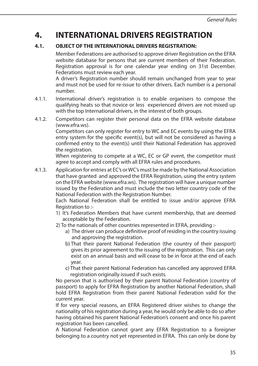### **4. INTERNATIONAL DRIVERS REGISTRATION**

### **4.1. OBJECT OF THE INTERNATIONAL DRIVERS REGISTRATION:**

 Member Federations are authorised to approve driver Registration on the EFRA website database for persons that are current members of their Federation. Registration approval is for one calendar year ending on 31st December. Federations must review each year.

 A driver's Registration number should remain unchanged from year to year and must not be used for re-issue to other drivers. Each number is a personal number.

- 4.1.1. International driver's registration is to enable organisers to compose the qualifying heats so that novice or less experienced drivers are not mixed up with the top International drivers, in the interest of both groups.
- 4.1.2. Competitors can register their personal data on the EFRA website database (www.efra.ws).

 Competitors can only register for entry to WC and EC events by using the EFRA entry system for the specific event(s), but will not be considered as having a confirmed entry to the event(s) until their National Federation has approved the registration.

When registering to compete at a WC, EC or GP event, the competitor must agree to accept and comply with all EFRA rules and procedures.

4.1.3. Application for entries at EC's or WC's must be made by the National Association that have granted and approved the EFRA Registration, using the entry system on the EFRA website (www.efra.ws). The registration will have a unique number issued by the Federation and must include the two letter country code of the National Federation with the Registration Number.

 Each National Federation shall be entitled to issue and/or approve EFRA Registration to :-

- 1) It's Federation Members that have current membership, that are deemed acceptable by the Federation.
- 2) To the nationals of other countries represented in EFRA, providing :
	- a) The driver can produce definitive proof of residing in the country issuing and approving the registration.
	- b) That their parent National Federation (the country of their passport) gives its prior agreement to the issuing of the registration. This can only exist on an annual basis and will cease to be in force at the end of each year.
	- c) That their parent National Federation has cancelled any approved EFRA registration originally issued if such exists.

 No person that is authorised by their parent National Federation (country of passport) to apply for EFRA Registration by another National Federation, shall hold EFRA Registration from their parent National Federation valid for the current year.

 If for very special reasons, an EFRA Registered driver wishes to change the nationality of his registration during a year, he would only be able to do so after having obtained his parent National Federation's consent and once his parent registration has been cancelled.

 A National Federation cannot grant any EFRA Registration to a foreigner belonging to a country not yet represented in EFRA. This can only be done by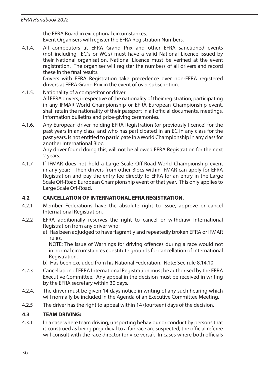the EFRA Board in exceptional circumstances. Event Organisers will register the EFRA Registration Numbers.

4.1.4. All competitors at EFRA Grand Prix and other EFRA sanctioned events (not including EC´s or WC's) must have a valid National Licence issued by their National organisation. National Licence must be verified at the event registration. The organiser will register the numbers of all drivers and record these in the final results.

 Drivers with EFRA Registration take precedence over non-EFRA registered drivers at EFRA Grand Prix in the event of over subscription.

- 4.1.5. Nationality of a competitor or driver: All EFRA drivers, irrespective of the nationality of their registration, participating in any IFMAR World Championship or EFRA European Championship event, shall retain the nationality of their passport in all official documents, meetings, information bulletins and prize-giving ceremonies.
- 4.1.6. Any European driver holding EFRA Registration (or previously licence) for the past years in any class, and who has participated in an EC in any class for the past years, is not entitled to participate in a World Championship in any class for another International Bloc.

 Any driver found doing this, will not be allowed EFRA Registration for the next 2 years.

4.1.7 If IFMAR does not hold a Large Scale Off-Road World Championship event in any year:- Then drivers from other Blocs within IFMAR can apply for EFRA Registration and pay the entry fee directly to EFRA for an entry in the Large Scale Off-Road European Championship event of that year. This only applies to Large Scale Off-Road.

### **4.2 CANCELLATION OF INTERNATIONAL EFRA REGISTRATION.**

- 4.2.1 Member Federations have the absolute right to issue, approve or cancel International Registration.
- 4.2.2 EFRA additionally reserves the right to cancel or withdraw International Registration from any driver who:
	- a) Has been adjudged to have flagrantly and repeatedly broken EFRA or IFMAR rules.

 NOTE: The issue of Warnings for driving offences during a race would not in normal circumstances constitute grounds for cancellation of International Registration.

- b) Has been excluded from his National Federation. Note: See rule 8.14.10.
- 4.2.3 Cancellation of EFRA International Registration must be authorised by the EFRA Executive Committee. Any appeal in the decision must be received in writing by the EFRA secretary within 30 days.
- 4.2.4. The driver must be given 14 days notice in writing of any such hearing which will normally be included in the Agenda of an Executive Committee Meeting.
- 4.2.5 The driver has the right to appeal within 14 (fourteen) days of the decision.

### **4.3 TEAM DRIVING:**

4.3.1 In a case where team driving, unsporting behaviour or conduct by persons that is construed as being prejudicial to a fair race are suspected, the official referee will consult with the race director (or vice versa). In cases where both officials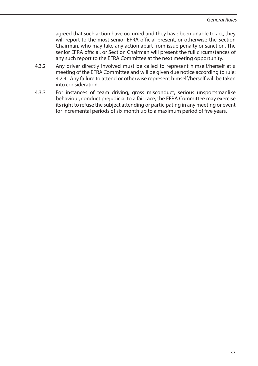agreed that such action have occurred and they have been unable to act, they will report to the most senior EFRA official present, or otherwise the Section Chairman, who may take any action apart from issue penalty or sanction. The senior EFRA official, or Section Chairman will present the full circumstances of any such report to the EFRA Committee at the next meeting opportunity.

- 4.3.2 Any driver directly involved must be called to represent himself/herself at a meeting of the EFRA Committee and will be given due notice according to rule: 4.2.4. Any failure to attend or otherwise represent himself/herself will be taken into consideration.
- 4.3.3 For instances of team driving, gross misconduct, serious unsportsmanlike behaviour, conduct prejudicial to a fair race, the EFRA Committee may exercise its right to refuse the subject attending or participating in any meeting or event for incremental periods of six month up to a maximum period of five years.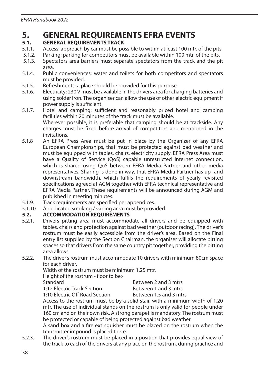# **5.** GENERAL REQUIREMENTS EFRA EVENTS

# **5.1. GENERAL REQUIREMENTS TRACK**<br>5.1.1 Access: approach by car must be po

- 5.1.1. Access: approach by car must be possible to within at least 100 mtr. of the pits.<br>5.1.2. Parking: parking for competitors must be available within 100 mtr. of the pits.
- 5.1.2. Parking: parking for competitors must be available within 100 mtr. of the pits.<br>5.1.3. Spectators area barriers must separate spectators from the track and the pi
- 5.1.3. Spectators area barriers must separate spectators from the track and the pit area.
- 5.1.4. Public conveniences: water and toilets for both competitors and spectators must be provided.
- 5.1.5. Refreshments: a place should be provided for this purpose.<br>5.1.6 Flectricity: 230 V must be available in the drivers area for cha
- Electricity: 230 V must be available in the drivers area for charging batteries and using solder iron. The organiser can allow the use of other electric equipment if power supply is sufficient.
- 5.1.7. Hotel and camping: sufficient and reasonably priced hotel and camping facilities within 20 minutes of the track must be available. Wherever possible, it is preferable that camping should be at trackside. Any charges must be fixed before arrival of competitors and mentioned in the invitations.
- 5.1.8 An EFRA Press Area must be put in place by the Organizer of any EFRA European Championships, that must be protected against bad weather and must be equipped with tables, chairs, electricity supply. EFRA Press Area must have a Quality of Service (QoS) capable unrestricted internet connection, which is shared using QoS between EFRA Media Partner and other media representatives. Sharing is done in way, that EFRA Media Partner has up- and downstream bandwidth, which fulfils the requirements of yearly revisited specifications agreed at AGM together with EFRA technical representative and EFRA Media Partner. These requirements will be announced during AGM and published in meeting minutes.
- 5.1.9. Track requirements are specified per appendices.<br>5.1.10 A dedicated smoking / vaping area must be provi
- 5.1.10 A dedicated smoking / vaping area must be provided.<br>5.2. **ACCOMMODATION REQUIREMENTS**

# **5.2. ACCOMMODATION REQUIREMENTS**<br>5.2.1. Drivers pitting area must accommod

- Drivers pitting area must accommodate all drivers and be equipped with tables, chairs and protection against bad weather (outdoor racing). The driver's rostrum must be easily accessible from the driver's area. Based on the Final entry list supplied by the Section Chairman, the organiser will allocate pitting spaces so that drivers from the same country pit together, providing the pitting area allows.
- 5.2.2. The driver's rostrum must accommodate 10 drivers with minimum 80cm space for each driver.

Width of the rostrum must be minimum 1.25 mtr.

Height of the rostrum - floor to be:-

Standard Between 2 and 3 mtrs 1:12 Electric Track Section Between 1 and 3 mtrs<br>1:10 Electric Off Road Section Between 1.5 and 3 mtrs 1:10 Electric Off Road Section

 Access to the rostrum must be by a solid stair, with a minimum width of 1.20 mtr. The use of individual stands on the rostrum is only valid for people under 160 cm and on their own risk. A strong parapet is mandatory. The rostrum must be protected or capable of being protected against bad weather.

 A sand box and a fire extinguisher must be placed on the rostrum when the transmitter impound is placed there.

5.2.3. The driver's rostrum must be placed in a position that provides equal view of the track to each of the drivers at any place on the rostrum, during practice and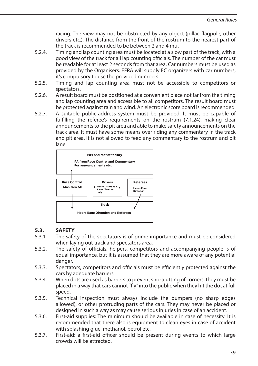racing. The view may not be obstructed by any object (pillar, flagpole, other drivers etc.). The distance from the front of the rostrum to the nearest part of the track is recommended to be between 2 and 4 mtr.

- 5.2.4. Timing and lap counting area must be located at a slow part of the track, with a good view of the track for all lap counting officials. The number of the car must be readable for at least 2 seconds from that area. Car numbers must be used as provided by the Organisers. EFRA will supply EC organizers with car numbers, it's compulsory to use the provided numbers
- 5.2.5. Timing and lap counting area must not be accessible to competitors or spectators.
- 5.2.6. A result board must be positioned at a convenient place not far from the timing and lap counting area and accessible to all competitors. The result board must be protected against rain and wind. An electronic score board is recommended.
- 5.2.7. A suitable public-address system must be provided. It must be capable of fulfilling the referee's requirements on the rostrum (7.1.24), making clear announcements to the pit area and able to make safety announcements on the track area. It must have some means over riding any commentary in the track and pit area. It is not allowed to feed any commentary to the rostrum and pit lane.



# **5.3. SAFETY**<br>5.3.1 **The safe**

- The safety of the spectators is of prime importance and must be considered when laying out track and spectators area.
- 5.3.2. The safety of officials, helpers, competitors and accompanying people is of equal importance, but it is assumed that they are more aware of any potential danger.
- 5.3.3. Spectators, competitors and officials must be efficiently protected against the cars by adequate barriers.
- 5.3.4. When dots are used as barriers to prevent shortcutting of corners, they must be placed in a way that cars cannot ''fly" into the public when they hit the dot at full speed.
- 5.3.5. Technical inspection must always include the bumpers (no sharp edges allowed), or other protruding parts of the cars. They may never be placed or designed in such a way as may cause serious injuries in case of an accident.
- 5.3.6. First-aid supplies: The minimum should be available in case of necessity. It is recommended that there also is equipment to clean eyes in case of accident with splashing glue, methanol, petrol etc.
- 5.3.7. First-aid: a first-aid officer should be present during events to which large crowds will be attracted.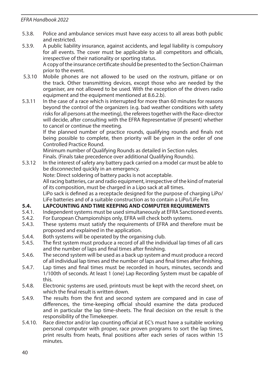- 5.3.8. Police and ambulance services must have easy access to all areas both public and restricted.
- 5.3.9. A public liability insurance, against accidents, and legal liability is compulsory for all events. The cover must be applicable to all competitors and officials, irrespective of their nationality or sporting status.

 A copy of the insurance certificate should be presented to the Section Chairman prior to the event.

- 5.3.10 Mobile phones are not allowed to be used on the rostrum, pitlane or on the track. Other transmitting devices, except those who are needed by the organiser, are not allowed to be used. With the exception of the drivers radio equipment and the equipment mentioned at 8.6.2.b).
- 5.3.11 In the case of a race which is interrupted for more than 60 minutes for reasons beyond the control of the organizers (e.g. bad weather conditions with safety risks for all persons at the meeting), the referees together with the Race-director will decide, after consulting with the EFRA Representative (if present) whether to cancel or continue the meeting.

 If the planned number of practice rounds, qualifying rounds and finals not being possible to complete, then priority will be given in the order of one Controlled Practice Round.

Minimum number of Qualifying Rounds as detailed in Section rules.

Finals. (Finals take precedence over additional Qualifying Rounds).

5.3.12 In the interest of safety any battery pack carried on a model car must be able to be disconnected quickly in an emergency.

Note: Direct soldering of battery packs is not acceptable.

 All racing batteries, car and radio equipment, irrespective of the kind of material of its composition, must be charged in a Lipo sack at all times.

 LiPo sack is defined as a receptacle designed for the purpose of charging LiPo/ LiFe batteries and of a suitable construction as to contain a LiPo/LiFe fire.

# **5.4. LAPCOUNTING AND TIME KEEPING AND COMPUTER REQUIREMENTS**<br>5.4.1 lindependent systems must be used simultaneously at FERA Sanctioned ex

- 5.4.1. Independent systems must be used simultaneously at EFRA Sanctioned events.<br>5.4.2. For European Championships only. EFRA will check both systems.
- 5.4.2. For European Championships only, EFRA will check both systems.<br>5.4.3. These systems must satisfy the requirements of EFRA and there
- These systems must satisfy the requirements of EFRA and therefore must be proposed and explained in the application.
- 5.4.4. Both systems will be operated by the organising club.
- 5.4.5. The first system must produce a record of all the individual lap times of all cars and the number of laps and final times after finishing.
- 5.4.6. The second system will be used as a back up system and must produce a record of all individual lap times and the number of laps and final times after finishing.
- 5.4.7. Lap times and final times must be recorded in hours, minutes, seconds and 1/100th of seconds. At least 1 (one) Lap Recording System must be capable of this.
- 5.4.8. Electronic systems are used, printouts must be kept with the record sheet, on which the final result is written down.
- 5.4.9. The results from the first and second system are compared and in case of differences, the time-keeping official should examine the data produced and in particular the lap time-sheets. The final decision on the result is the responsibility of the Timekeeper.
- 5.4.10. Race director and/or lap counting official at EC's must have a suitable working personal computer with proper, race proven programs to sort the lap times, print results from heats, final positions after each series of races within 15 minutes.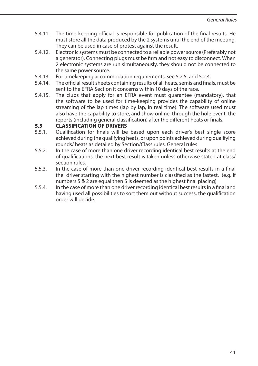- 5.4.11. The time-keeping official is responsible for publication of the final results. He must store all the data produced by the 2 systems until the end of the meeting. They can be used in case of protest against the result.
- 5.4.12. Electronic systems must be connected to a reliable power source (Preferably not a generator). Connecting plugs must be firm and not easy to disconnect. When 2 electronic systems are run simultaneously, they should not be connected to the same power source.
- 5.4.13. For timekeeping accommodation requirements, see 5.2.5. and 5.2.4.
- 5.4.14. The official result sheets containing results of all heats, semis and finals, must be sent to the EFRA Section it concerns within 10 days of the race.
- 5.4.15. The clubs that apply for an EFRA event must guarantee (mandatory), that the software to be used for time-keeping provides the capability of online streaming of the lap times (lap by lap, in real time). The software used must also have the capability to store, and show online, through the hole event, the reports (including general classification) after the different heats or finals.

# **5.5 CLASSIFICATION OF DRIVERS**<br>5.5.1 Qualification for finals will be

- 5.5.1. Qualification for finals will be based upon each driver's best single score achieved during the qualifying heats, or upon points achieved during qualifying rounds/ heats as detailed by Section/Class rules. General rules
- 5.5.2. In the case of more than one driver recording identical best results at the end of qualifications, the next best result is taken unless otherwise stated at class/ section rules.
- 5.5.3. In the case of more than one driver recording identical best results in a final the driver starting with the highest number is classified as the fastest. (e.g. if numbers 5  $& 2$  are equal then 5 is deemed as the highest final placing)
- 5.5.4. In the case of more than one driver recording identical best results in a final and having used all possibilities to sort them out without success, the qualification order will decide.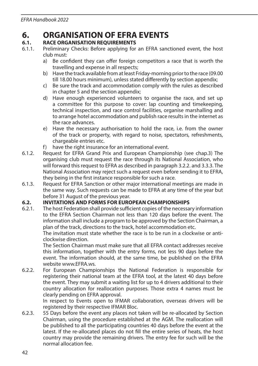# **6. ORGANISATION OF EFRA EVENTS**<br>6.1 BACE ORGANISATION REQUIREMENTS

# **6.1. RACE ORGANISATION REQUIREMENTS**<br>6.1.1 Preliminary Checks: Before applying for

- Preliminary Checks: Before applying for an EFRA sanctioned event, the host club must:
	- a) Be confident they can offer foreign competitors a race that is worth the travelling and expense in all respects;
	- b) Have the track available from at least Friday-morning prior to the race (09.00 till 18.00 hours minimum), unless stated differently by section appendix;
	- c) Be sure the track and accommodation comply with the rules as described in chapter 5 and the section appendix;
	- d) Have enough experienced volunteers to organise the race, and set up a committee for this purpose to cover: lap counting and timekeeping, technical inspection, and race control facilities, organise marshalling and to arrange hotel accommodation and publish race results in the internet as the race advances.
	- e) Have the necessary authorisation to hold the race, i.e. from the owner of the track or property, with regard to noise, spectators, refreshments, chargeable entries etc.
	- f) have the right insurance for an international event.
- 6.1.2. Request for EFRA Grand Prix and European Championship (see chap.3) The organising club must request the race through its National Association, who will forward this request to EFRA as described in paragraph 3.2.2. and 3.3.3. The National Association may reject such a request even before sending it to EFRA, they being in the first instance responsible for such a race.
- 6.1.3. Request for EFRA Sanction or other major international meetings are made in the same way. Such requests can be made to EFRA at any time of the year but before 31 August of the previous year.

# **6.2. INVITATIONS AND FORMS FOR EUROPEAN CHAMPIONSHIPS**<br>6.2.1. The host Federation shall provide sufficient copies of the necessa

The host Federation shall provide sufficient copies of the necessary information to the EFRA Section Chairman not less than 120 days before the event. The information shall include a program to be approved by the Section Chairman, a plan of the track, directions to the track, hotel accommodation etc.

 The invitation must state whether the race is to be run in a clockwise or anticlockwise direction.

 The Section Chairman must make sure that all EFRA contact addresses receive this information, together with the entry forms, not less 90 days before the event. The information should, at the same time, be published on the EFRA website www.EFRA.ws.

6.2.2. For European Championships the National Federation is responsible for registering their national team at the EFRA tool, at the latest 40 days before the event. They may submit a waiting list for up to 4 drivers additional to their country allocation for reallocation purposes. Those extra 4 names must be clearly pending on EFRA approval.

 In respect to Events open to IFMAR collaboration, overseas drivers will be registered by their respective IFMAR Bloc.

6.2.3. 55 Days before the event any places not taken will be re-allocated by Section Chairman, using the procedure established at the AGM. The reallocation will be published to all the participating countries 40 days before the event at the latest. If the re-allocated places do not fill the entire series of heats, the host country may provide the remaining drivers. The entry fee for such will be the normal allocation fee.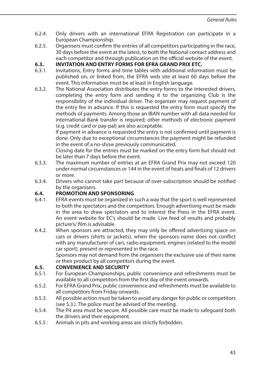- 6.2.4. Only drivers with an international EFRA Registration can participate in a European Championship.
- 6.2.5. Organisers must confirm the entries of all competitors participating in the race, 30 days before the event at the latest, to both the National contact address and each competitor and through publication on the official website of the event.

# **6.3. INVITATION AND ENTRY FORMS FOR EFRA GRAND PRIX ETC.**<br>6.3.1 Invitations Entry forms and time tables with additional inform

- 6.3.1. Invitations, Entry forms and time tables with additional information must be published on, or linked from, the EFRA web site at least 60 days before the event. This information must be at least in English language.
- 6.3.2. The National Association distributes the entry forms to the interested drivers, completing the entry form and sending it to the organizing Club is the responsibility of the individual driver. The organizer may request payment of the entry fee in advance. If this is requested the entry form must specify the methods of payments. Among those an IBAN number with all data needed for international Bank transfer is required; other methods of electronic payment (e.g. credit card or pay-pal) are also acceptable.

 If payment in advance is requested the entry is not confirmed until payment is done. Only due to exceptional circumstances the payment might be refunded in the event of a no-show previously communicated.

 Closing date for the entries must be marked on the entry form but should not be later than 7 days before the event.

- 6.3.3. The maximum number of entries at an EFRA Grand Prix may not exceed 120 under normal circumstances or 144 in the event of heats and finals of 12 drivers or more.
- 6.3.4. Drivers who cannot take part because of over-subscription should be notified by the organisers.

### **6.4. PROMOTION AND SPONSORING**

- 6.4.1. EFRA events must be organized in such a way that the sport is well represented to both the spectators and the competitors. Enough advertising must be made in the area to draw spectators and to interest the Press in the EFRA event. An event website for EC's should be made. Live feed of results and probably picture's/ film is advisable.
- 6.4.2. When sponsors are attracted, they may only be offered advertising space on cars or drivers (shirts or jackets), when the sponsors name does not conflict with any manufacturer of cars, radio equipment, engines (related to the model car sport), present or represented in the race.

 Sponsors may not demand from the organisers the exclusive use of their name or their product by all competitors during the event.

### **6.5. CONVENIENCE AND SECURITY**

- 6.5.1. For European Championships, public convenience and refreshments must be available to all competitors from the first day of the event onwards.
- 6.5.2. For EFRA Grand Prix, public convenience and refreshments must be available to all competitors from Friday onwards.
- 6.5.3. All possible action must be taken to avoid any danger for public or competitors (see 5.3.). The police must be advised of the meeting.
- 6.5.4. The Pit area must be secure. All possible care must be made to safeguard both the drivers and their equipment.
- 6.5.5 : Animals in pits and working areas are strictly forbidden.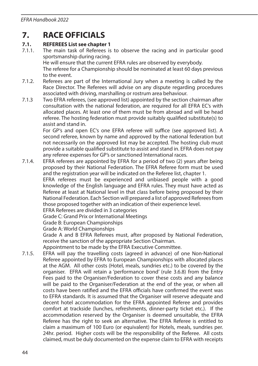### **7. RACE OFFICIALS**

### **7.1. REFEREES List see chapter 1**

7.1.1. The main task of Referees is to observe the racing and in particular good sportsmanship during racing. He will ensure that the current EFRA rules are observed by everybody.

 The referee for a Championship should be nominated at least 60 days previous to the event.

- 7.1.2. Referees are part of the International Jury when a meeting is called by the Race Director. The Referees will advise on any dispute regarding procedures associated with driving, marshalling or rostrum area behaviour.
- 7.1.3 Two EFRA referees, (see approved list) appointed by the section chairman after consultation with the national federation, are required for all EFRA EC's with allocated places. At least one of them must be from abroad and will be head referee. The hosting federation must provide suitably qualified substitute(s) to assist and stand in.

 For GP's and open EC's one EFRA referee will suffice (see approved list). A second referee, known by name and approved by the national federation but not necessarily on the approved list may be accepted. The hosting club must provide a suitable qualified substitute to assist and stand in. EFRA does not pay any referee expenses for GP's or sanctioned International races.

7.1.4. EFRA referees are appointed by EFRA for a period of two (2) years after being proposed by their National Federation. The EFRA Referee form must be used and the registration year will be indicated on the Referee list, chapter 1.

 EFRA referees must be experienced and unbiased people with a good knowledge of the English language and EFRA rules. They must have acted as Referee at least at National level in that class before being proposed by their National Federation. Each Section will prepared a list of approved Referees from those proposed together with an indication of their experience level.

EFRA Referees are divided in 3 categories

Grade C: Grand Prix or International Meetings

Grade B: European Championships

Grade A: World Championships

 Grade A and B EFRA Referees must, after proposed by National Federation, receive the sanction of the appropriate Section Chairman.

Appointment to be made by the EFRA Executive Committee.

7.1.5. EFRA will pay the travelling costs (agreed in advance) of one Non-National Referee appointed by EFRA to European Championships with allocated places at the AGM. All other costs (Hotel, meals, sundries etc.) to be covered by the organiser. EFRA will retain a 'performance bond' (rule 3.6.8) from the Entry Fees paid to the Organiser/Federation to cover these costs and any balance will be paid to the Organiser/Federation at the end of the year, or when all costs have been ratified and the EFRA officials have confirmed the event was to EFRA standards. It is assumed that the Organiser will reserve adequate and decent hotel accommodation for the EFRA appointed Referee and provides comfort at trackside (lunches, refreshments, dinner-party ticket etc.). If the accommodation reserved by the Organiser is deemed unsuitable, the EFRA Referee has the right to seek an alternative. The EFRA Referee is entitled to claim a maximum of 100 Euro (or equivalent) for Hotels, meals, sundries per. 24hr. period. Higher costs will be the responsibility of the Referee. All costs claimed, must be duly documented on the expense claim to EFRA with receipts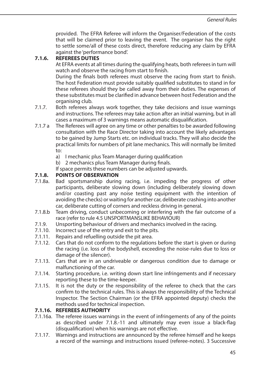provided. The EFRA Referee will inform the Organiser/Federation of the costs that will be claimed prior to leaving the event. The organiser has the right to settle some/all of these costs direct, therefore reducing any claim by EFRA against the 'performance bond'.

### **7.1.6. REFEREES DUTIES**

 At EFRA events at all times during the qualifying heats, both referees in turn will watch and observe the racing from start to finish.

 During the finals both referees must observe the racing from start to finish. The host Federation must provide suitably qualified substitutes to stand in for these referees should they be called away from their duties. The expenses of these substitutes must be clarified in advance between host Federation and the organising club.

- 7.1.7. Both referees always work together, they take decisions and issue warnings and instructions. The referees may take action after an initial warning, but in all cases a maximum of 3 warnings means automatic disqualification.
- 7.1.7 a The Referees will agree on any time or other penalties to be awarded following consultation with the Race Director taking into account the likely advantages to be gained by Jump Starts etc. on individual tracks. They will also decide the practical limits for numbers of pit lane mechanics. This will normally be limited to:
	- a) I mechanic plus Team Manager during qualification
	- b) 2 mechanics plus Team Manager during finals.
	- If space permits these numbers can be adjusted upwards.

### **7.1.8. POINTS OF OBSERVATION**

- 7.1.8a. Bad sportsmanship during racing, i.e. impeding the progress of other participants, deliberate slowing down (including deliberately slowing down and/or coasting past any noise testing equipment with the intention of avoiding the checks) or waiting for another car, deliberate crashing into another car, deliberate cutting of corners and reckless driving in general.
- 7.1.8.b Team driving, conduct unbecoming or interfering with the fair outcome of a race (refer to rule 4.5 UNSPORTMANSLIKE BEHAVIOUR)
- 7.1.9. Unsporting behaviour of drivers and mechanics involved in the racing.<br>7.1.10 Incorrect use of the entry and exit to the pits
- Incorrect use of the entry and exit to the pits.
- 7.1.11. Repairs and refuelling outside the pit area.
- 7.1.12. Cars that do not conform to the regulations before the start is given or during the racing (i.e. loss of the bodyshell, exceeding the noise-rules due to loss or damage of the silencer).
- 7.1.13. Cars that are in an undriveable or dangerous condition due to damage or malfunctioning of the car.
- 7.1.14. Starting procedure, i.e. writing down start line infringements and if necessary reporting these to the time-keeper.
- 7.1.15. It is not the duty or the responsibility of the referee to check that the cars confirm to the technical rules. This is always the responsibility of the Technical Inspector. The Section Chairman (or the EFRA appointed deputy) checks the methods used for technical inspection.

#### **7.1.16. REFEREES AUTHORITY**

- 7.1.16a. The referee issues warnings in the event of infringements of any of the points as described under 7.1.8.-11 and ultimately may even issue a black-flag (disqualification) when his warnings are not effective.
- 7.1.17. Warnings and instructions are announced by the referee himself and he keeps a record of the warnings and instructions issued (referee-notes). 3 Successive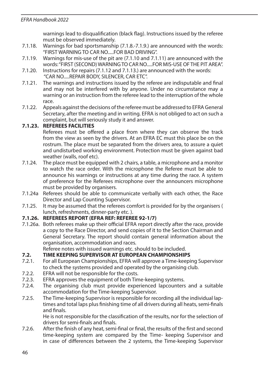warnings lead to disqualification (black flag). Instructions issued by the referee must be observed immediately.

- 7.1.18. Warnings for bad sportsmanship (7.1.8.-7.1.9.) are announced with the words: "FIRST WARNING TO CAR NO.....FOR BAD DRIVING".
- 7.1.19. Warnings for mis-use of the pit are (7.1.10 and 7.1.11) are announced with the words: "FIRST (SECOND) WARNING TO CAR NO.....FOR MIS-USE OF THE PIT AREA".
- 7.1.20. Instructions for repairs (7.1.12 and 7.1.13.) are announced with the words: "CAR NO.....REPAIR BODY, SILENCER, CAR ETC".
- 7.1.21. The warnings and instructions issued by the referee are indisputable and final and may not be interfered with by anyone. Under no circumstance may a warning or an instruction from the referee lead to the interruption of the whole race.
- 7.1.22. Appeals against the decisions of the referee must be addressed to EFRA General Secretary, after the meeting and in writing. EFRA is not obliged to act on such a complaint, but will seriously study it and answer.

#### **7.1.23. REFEREES FACILITIES**

 Referees must be offered a place from where they can observe the track from the view as seen by the drivers. At an EFRA EC must this place be on the rostrum. The place must be separated from the drivers area, to assure a quiet and undisturbed working environment. Protection must be given against bad weather (walls, roof etc).

- 7.1.24. The place must be equipped with 2 chairs, a table, a microphone and a monitor to watch the race order. With the microphone the Referee must be able to announce his warnings or instructions at any time during the race. A system of preference for the Referees microphone over the announcers microphone must be provided by organisers.
- 7.1.24a Referees should be able to communicate verbally with each other, the Race Director and Lap Counting Supervisor.
- 7.1.25. It may be assumed that the referees comfort is provided for by the organisers ( lunch, refreshments, dinner-party etc. ).

#### **7.1.26. REFEREES REPORT (EFRA REF: REFEREE 92-1/7)**

7.1.26a. Both referees make up their official EFRA report directly after the race, provide a copy to the Race Director, and send copies of it to the Section Chairman and General Secretary. The report should contain general information about the organisation, accommodation and races.

Referee notes with issued warnings etc. should to be included.

### **7.2. TIME KEEPING SUPERVISOR AT EUROPEAN CHAMPIONSHIPS**

- 7.2.1. For all European Championships, EFRA will approve a Time-keeping Supervisor to check the systems provided and operated by the organising club.
- 7.2.2. EFRA will not be responsible for the costs.
- 7.2.3. EFRA approves the equipment of both Time-keeping systems.
- 7.2.4. The organising club must provide experienced lapcounters and a suitable accommodation for the Time-keeping Supervisor.
- 7.2.5. The Time-keeping Supervisor is responsible for recording all the individual laptimes and total laps plus finishing time of all drivers during all heats, semi-finals and finals.

 He is not responsible for the classification of the results, nor for the selection of drivers for semi-finals and finals.

7.2.6. After the finish of any heat, semi-final or final, the results of the first and second time-keeping system are compared by the Time- keeping Supervisor and in case of differences between the 2 systems, the Time-keeping Supervisor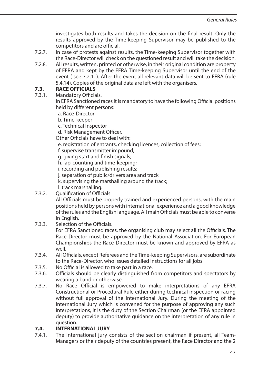investigates both results and takes the decision on the final result. Only the results approved by the Time-keeping Supervisor may be published to the competitors and are official.

- 7.2.7. In case of protests against results, the Time-keeping Supervisor together with the Race-Director will check on the questioned result and will take the decision.
- 7.2.8. All results, written, printed or otherwise, in their original condition are property of EFRA and kept by the EFRA Time-keeping Supervisor until the end of the event ( see 7.2.1. ). After the event all relevant data will be sent to EFRA (rule 5.4.14). Copies of the original data are left with the organisers.

# **7.3. RACE OFFICIALS**<br>**7.3.1** Mandatory Officia

Mandatory Officials.

 In EFRA Sanctioned races it is mandatory to have the following Official positions held by different persons:

- a. Race-Director
- b. Time-keeper
- c. Technical Inspector
- d. Risk Management Officer.

Other Officials have to deal with:

- e. registration of entrants, checking licences, collection of fees;
- f. supervise transmitter impound;
- g. giving start and finish signals;
- h. lap-counting and time-keeping;
- i. recording and publishing results;
- j. separation of public/drivers area and track
- k. supervising the marshalling around the track;

l. track marshalling.

7.3.2. Qualification of Officials.

 All Officials must be properly trained and experienced persons, with the main positions held by persons with international experience and a good knowledge of the rules and the English language. All main Officials must be able to converse in English.

7.3.3. Selection of the Officials.

 For EFRA Sanctioned races, the organising club may select all the Officials. The Race-Director must be approved by the National Association. For European Championships the Race-Director must be known and approved by EFRA as well.

- 7.3.4. All Officials, except Referees and the Time-keeping Supervisors, are subordinate to the Race-Director, who issues detailed instructions for all jobs.
- 7.3.5. No Official is allowed to take part in a race.
- 7.3.6. Officials should be clearly distinguished from competitors and spectators by wearing a band or otherwise.
- 7.3.7. No Race Official is empowered to make interpretations of any EFRA Constructional or Procedural Rule either during technical inspection or racing without full approval of the International Jury. During the meeting of the International Jury which is convened for the purpose of approving any such interpretations, it is the duty of the Section Chairman (or the EFRA appointed deputy) to provide authoritative guidance on the interpretation of any rule in question.

### **7.4. INTERNATIONAL JURY**

7.4.1. The international jury consists of the section chairman if present, all Team-Managers or their deputy of the countries present, the Race Director and the 2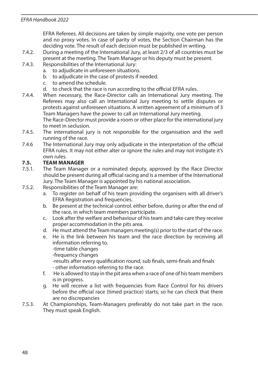EFRA Referees. All decisions are taken by simple majority, one vote per person and no proxy votes. In case of parity of votes, the Section Chairman has the deciding vote. The result of each decision must be published in writing.

- 7.4.2. During a meeting of the International Jury, at least 2/3 of all countries must be present at the meeting. The Team Manager or his deputy must be present.
- 7.4.3. Responsibilities of the International Jury:
	- a. to adjudicate in unforeseen situations.
	- b. to adjudicate in the case of protests if needed.
	- c. to amend the schedule.
	- d. to check that the race is run according to the official EFRA rules.
- 7.4.4. When necessary, the Race-Director calls an International Jury meeting. The Referees may also call an International Jury meeting to settle disputes or protests against unforeseen situations. A written agreement of a minimum of 3 Team Managers have the power to call an International Jury meeting. The Race-Director must provide a room or other place for the international jury

to meet in seclusion.

- 7.4.5. The international jury is not responsible for the organisation and the well running of the race.
- 7.4.6 The International Jury may only adjudicate in the interpretation of the official EFRA rules. It may not either alter or ignore the rules and may not instigate it's own rules.

# **7.5. TEAM MANAGER**

- The Team Manager or a nominated deputy, approved by the Race Director should be present during all official racing and is a member of the International Jury. The Team Manager is appointed by his national association.
- 7.5.2. Responsibilities of the Team Manager are:
	- a. To register on behalf of his team providing the organisers with all driver's EFRA Registration and frequencies.
	- b. Be present at the technical control. either before, during or after the end of the race, in which team members participate.
	- c. Look after the welfare and behaviour of his team and take care they receive proper accommodation in the pits area.
	- d. He must attend the Team managers meeting(s) prior to the start of the race.
	- e. He is the link between his team and the race direction by receiving all information referring to. -time table changes
		- -frequency changes

 -results after every qualification round, sub finals, semi-finals and finals - other information referring to the race.

- f. He is allowed to stay in the pit area when a race of one of his team members is in progress.
- g. He will receive a list with frequencies from Race Control for his drivers before the official race (timed practice) starts, so he can check that there are no discrepancies
- 7.5.3. At Championships, Team-Managers preferably do not take part in the race. They must speak English.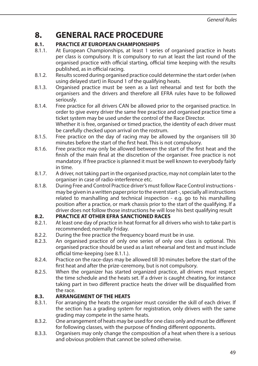## **8. GENERAL RACE PROCEDURE**

### **8.1. PRACTICE AT EUROPEAN CHAMPIONSHIPS**

- 8.1.1. At European Championships, at least 1 series of organised practice in heats per class is compulsory. It is compulsory to run at least the last round of the organised practice with official starting, official time keeping with the results published, as in official racing.
- 8.1.2. Results scored during organised practice could determine the start order (when using delayed start) in Round 1 of the qualifying heats.
- 8.1.3. Organised practice must be seen as a last rehearsal and test for both the organisers and the drivers and therefore all EFRA rules have to be followed seriously.
- 8.1.4. Free practice for all drivers CAN be allowed prior to the organised practice. In order to give every driver the same free practice and organised practice time a ticket system may be used under the control of the Race Director. Whether it is free, organised or timed practice, the identity of each driver must be carefully checked upon arrival on the rostrum.
- 8.1.5. Free practice on the day of racing may be allowed by the organisers till 30 minutes before the start of the first heat. This is not compulsory.
- 8.1.6. Free practice may only be allowed between the start of the first heat and the finish of the main final at the discretion of the organiser. Free practice is not mandatory. If free practice is planned it must be well known to everybody fairly in time.
- 8.1.7. A driver, not taking part in the organised practice, may not complain later to the organiser in case of radio-interference etc.
- 8.1.8. During Free and Control Practice driver's must follow Race Control instructions may be given in a written paper prior to the event start -, specially all instructions related to marshalling and technical inspection - e.g. go to his marshalling position after a practice, or mark chassis prior to the start of the qualifying. If a driver does not follow those instructions he will lose his best qualifying result

### **8.2. PRACTICE AT OTHER EFRA SANCTIONED RACES**

- 8.2.1. At least one day of practice in heat format for all drivers who wish to take part is recommended; normally Friday.
- 8.2.2. During the free practice the frequency board must be in use.
- 8.2.3. An organised practice of only one series of only one class is optional. This organised practice should be used as a last rehearsal and test and must include official time-keeping (see 8.1.1.).
- 8.2.4. Practice on the race-days may be allowed till 30 minutes before the start of the first heat and after the prize-ceremony, but is not compulsory.
- 8.2.5. When the organizer has started organized practice, all drivers must respect the time schedule and the heats set. If a driver is caught cheating, for instance taking part in two different practice heats the driver will be disqualified from the race.

### **8.3. ARRANGEMENT OF THE HEATS**

- 8.3.1. For arranging the heats the organiser must consider the skill of each driver. If the section has a grading system for registration, only drivers with the same grading may compete in the same heats.
- 8.3.2. One arrangement of heats may be used for one class only and must be different for following classes, with the purpose of finding different opponents.
- 8.3.3. Organisers may only change the composition of a heat when there is a serious and obvious problem that cannot be solved otherwise.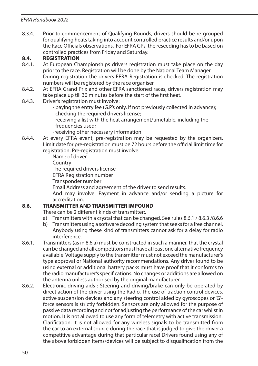8.3.4. Prior to commencement of Qualifying Rounds, drivers should be re-grouped for qualifying heats taking into account controlled practice results and/or upon the Race Officials observations. For EFRA GPs, the reseeding has to be based on controlled practices from Friday and Saturday.

### **8.4. REGISTRATION**

- 8.4.1. At European Championships drivers registration must take place on the day prior to the race. Registration will be done by the National Team Manager. During registration the drivers EFRA Registration is checked. The registration numbers will be registered by the race organiser.
- 8.4.2. At EFRA Grand Prix and other EFRA sanctioned races, drivers registration may take place up till 30 minutes before the start of the first heat.
- 8.4.3. Driver's registration must involve:
	- paying the entry fee (G.P.'s only, if not previously collected in advance);
	- checking the required drivers license;
	- receiving a list with the heat arrangement/timetable, including the frequencies used;
	- -receiving other necessary information
- 8.4.4. At every EFRA event, pre-registration may be requested by the organizers. Limit date for pre-registration must be 72 hours before the official limit time for registration. Pre-registration must involve:

Name of driver

Country

The required drivers license

EFRA Registration number

Transponder number

Email Address and agreement of the driver to send results.

 And may involve: Payment in advance and/or sending a picture for accreditation.

### **8.6. TRANSMITTER AND TRANSMITTER IMPOUND**

There can be 2 different kinds of transmitter:.

- a) Transmitters with a crystal that can be changed. See rules 8.6.1 / 8.6.3 /8.6.6
- b) Transmitters using a software decoding system that seeks for a free channel. Anybody using these kind of transmitters cannot ask for a delay for radio interference.
- 8.6.1. Transmitters (as in 8.6 a) must be constructed in such a manner, that the crystal can be changed and all competitors must have at least one alternative frequency available. Voltage supply to the transmitter must not exceed the manufacturer's type approval or National authority recommendations. Any driver found to be using external or additional battery packs must have proof that it conforms to the radio manufacturer's specifications. No changes or additions are allowed on the antenna unless authorised by the original manufacturer.
- 8.6.2. Electronic driving aids : Steering and driving/brake can only be operated by direct action of the driver using the Radio. The use of traction control devices, active suspension devices and any steering control aided by gyroscopes or 'G' force sensors is strictly forbidden. Sensors are only allowed for the purpose of passive data recording and not for adjusting the performance of the car whilst in motion. It is not allowed to use any form of telemetry with active transmission. Clarification: It is not allowed for any wireless signals to be transmitted from the car to an external source during the race that is judged to give the driver a competitive advantage during that particular race! Drivers found using any of the above forbidden items/devices will be subject to disqualification from the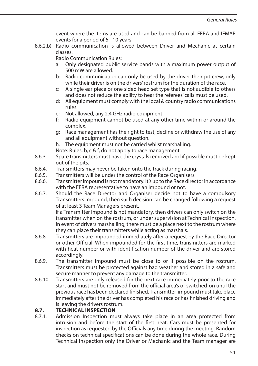event where the items are used and can be banned from all EFRA and IFMAR events for a period of 5 - 10 years.

8.6.2.b) Radio communication is allowed between Driver and Mechanic at certain classes.

Radio Communication Rules:

- a: Only designated public service bands with a maximum power output of 500 mW are allowed.
- b: Radio communication can only be used by the driver their pit crew, only while their driver is on the drivers' rostrum for the duration of the race.
- c: A single ear piece or one sided head set type that is not audible to others and does not reduce the ability to hear the referees' calls must be used.
- d: All equipment must comply with the local & country radio communications rules.
- e: Not allowed, any 2.4 GHz radio equipment.
- f: Radio equipment cannot be used at any other time within or around the complex.
- g: Race management has the right to test, decline or withdraw the use of any and all equipment without question.

h. The equipment must not be carried whilst marshalling.

Note: Rules, b, c & f, do not apply to race management.

- 8.6.3. Spare transmitters must have the crystals removed and if possible must be kept out of the pits.
- 8.6.4. Transmitters may never be taken onto the track during racing.
- 8.6.5. Transmitters will be under the control of the Race Organisers.
- 8.6.6. Transmitter impound is not mandatory. It's up to the Race director in accordance with the EFRA representative to have an impound or not.
- 8.6.7. Should the Race Director and Organiser decide not to have a compulsory Transmitters Impound, then such decision can be changed following a request of at least 3 Team Managers present.

 If a Transmitter Impound is not mandatory, then drivers can only switch on the transmitter when on the rostrum, or under supervision at Technical Inspection. In event of drivers marshalling, there must be a place next to the rostrum where they can place their transmitters while acting as marshals.

- 8.6.8. Transmitters are impounded immediately after a request by the Race Director or other Official. When impounded for the first time, transmitters are marked with heat-number or with identification number of the driver and are stored accordingly.
- 8.6.9. The transmitter impound must be close to or if possible on the rostrum. Transmitters must be protected against bad weather and stored in a safe and secure manner to prevent any damage to the transmitter.
- 8.6.10. Transmitters are only released for the next race immediately prior to the race start and must not be removed from the official area's or switched-on until the previous race has been declared finished. Transmitter-impound must take place immediately after the driver has completed his race or has finished driving and is leaving the drivers rostrum.

### **8.7. TECHNICAL INSPECTION**

8.7.1. Admission Inspection must always take place in an area protected from intrusion and before the start of the first heat. Cars must be presented for inspection as requested by the Officials any time during the meeting. Random checks on technical specifications can be done during the whole race. During Technical Inspection only the Driver or Mechanic and the Team manager are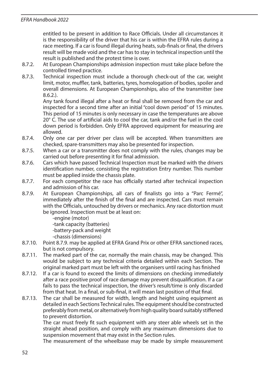entitled to be present in addition to Race Officials. Under all circumstances it is the responsibility of the driver that his car is within the EFRA rules during a race meeting. If a car is found illegal during heats, sub-finals or final, the drivers result will be made void and the car has to stay in technical inspection until the result is published and the protest time is over.

- 8.7.2. At European Championships admission inspection must take place before the controlled timed practice.
- 8.7.3. Technical inspection must include a thorough check-out of the car, weight limit, motor, muffler, tank, batteries, tyres, homologation of bodies, spoiler and overall dimensions. At European Championships, also of the transmitter (see 8.6.2.).

 Any tank found illegal after a heat or final shall be removed from the car and inspected for a second time after an initial "cool down period" of 15 minutes. This period of 15 minutes is only necessary in case the temperatures are above 20° C. The use of artificial aids to cool the car, tank and/or the fuel in the cool down period is forbidden. Only EFRA approved equipment for measuring are allowed.

- 8.7.4. Only one car per driver per class will be accepted. When transmitters are checked, spare-transmitters may also be presented for inspection.
- 8.7.5. When a car or a transmitter does not comply with the rules, changes may be carried out before presenting it for final admission.
- 8.7.6. Cars which have passed Technical Inspection must be marked with the drivers identification number, consisting the registration Entry number. This number must be applied inside the chassis plate.
- 8.7.7. For each competitor the race has officially started after technical inspection and admission of his car.
- 8.7.9. At European Championships, all cars of finalists go into a "Parc Fermé", immediately after the finish of the final and are inspected. Cars must remain with the Officials, untouched by drivers or mechanics. Any race distortion must be ignored. Inspection must be at least on:
	- -engine (motor)
	- -tank capacity (batteries)
	- -battery-pack and weight
	- -chassis (dimensions)
- 8.7.10. Point 8.7.9. may be applied at EFRA Grand Prix or other EFRA sanctioned races, but is not compulsory.
- 8.7.11. The marked part of the car, normally the main chassis, may be changed. This would be subject to any technical criteria detailed within each Section. The original marked part must be left with the organisers until racing has finished
- 8.7.12. If a car is found to exceed the limits of dimensions on checking immediately after a race positive proof of race damage may prevent disqualification. If a car fails to pass the technical inspection, the driver's result/time is only discarded from that heat. In a final, or sub-final, it will mean last position of that final.
- 8.7.13. The car shall be measured for width, length and height using equipment as detailed in each Sections Technical rules. The equipment should be constructed preferably from metal, or alternatively from high quality board suitably stiffened to prevent distortion.

 The car must freely fit such equipment with any steer able wheels set in the straight ahead position, and comply with any maximum dimensions due to suspension movement that may exist in the Section rules.

The measurement of the wheelbase may be made by simple measurement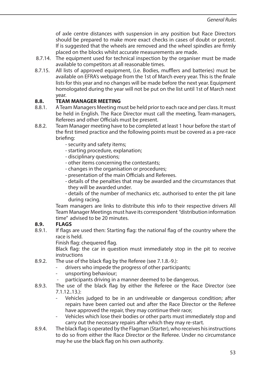of axle centre distances with suspension in any position but Race Directors should be prepared to make more exact checks in cases of doubt or protest. If is suggested that the wheels are removed and the wheel spindles are firmly placed on the blocks whilst accurate measurements are made.

- 8.7.14. The equipment used for technical inspection by the organiser must be made available to competitors at all reasonable times.
- 8.7.15. All lists of approved equipment, (i.e. Bodies, mufflers and batteries) must be available on EFRA's webpage from the 1st of March every year. This is the finale lists for this year and no changes will be made before the next year. Equipment homologated during the year will not be put on the list until 1st of March next year.

### **8.8. TEAM MANAGER MEETING**

- 8.8.1. A Team Managers Meeting must be held prior to each race and per class. It must be held in English. The Race Director must call the meeting, Team-managers, Referees and other Officials must be present.
- 8.8.2. Team Manager meeting have to be completed at least 1 hour before the start of the first timed practice and the following points must be covered as a pre-race briefing:
	- security and safety items;
	- starting procedure, explanation;
	- disciplinary questions;
	- other items concerning the contestants;
	- changes in the organisation or procedures;
	- presentation of the main Officials and Referees.
	- details of the penalties that may be awarded and the circumstances that they will be awarded under.
	- details of the number of mechanics etc. authorised to enter the pit lane during racing.

 Team managers are links to distribute this info to their respective drivers All Team Manager Meetings must have its correspondent "distribution information time" advised to be 20 minutes.

# **8.9. FLAGS**<br>8.9.1 **If flags**

If flags are used then: Starting flag: the national flag of the country where the race is held.

Finish flag: chequered flag.

 Black flag: the car in question must immediately stop in the pit to receive instructions

- 8.9.2. The use of the black flag by the Referee (see 7.1.8.-9.):
	- drivers who impede the progress of other participants;
	- unsporting behaviour;
	- participants driving in a manner deemed to be dangerous.
- 8.9.3. The use of the black flag by either the Referee or the Race Director (see 7.1.12..13.):
	- Vehicles judged to be in an undriveable or dangerous condition; after repairs have been carried out and after the Race Director or the Referee have approved the repair, they may continue their race;
	- Vehicles which lose their bodies or other parts must immediately stop and carry out the necessary repairs after which they may re-start.
- 8.9.4. The black flag is operated by the Flagman (Starter), who receives his instructions to do so from either the Race Director or the Referee. Under no circumstance may he use the black flag on his own authority.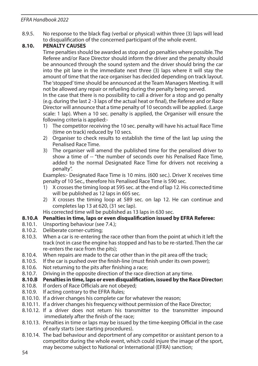8.9.5. No response to the black flag (verbal or physical) within three (3) laps will lead to disqualification of the concerned participant of the whole event.

### **8.10. PENALTY CAUSES**

 Time penalties should be awarded as stop and go penalties where possible. The Referee and/or Race Director should inform the driver and the penalty should be announced through the sound system and the driver should bring the car into the pit lane in the immediate next three (3) laps where it will stay the amount of time that the race organiser has decided depending on track layout. The 'stopped' time should be announced at the Team Managers Meeting. It will not be allowed any repair or refueling during the penalty being served.

 In the case that there is no possibility to call a driver for a stop and go penalty (e.g. during the last 2 -3 laps of the actual heat or final), the Referee and or Race Director will announce that a time penalty of 10 seconds will be applied. (Large scale: 1 lap). When a 10 sec. penalty is applied, the Organiser will ensure the following criteria is applied:-

- 1) The competitor receiving the 10 sec. penalty will have his actual Race Time (time on track) reduced by 10 secs.
- 2) Organiser to check results to establish the time of the last lap using the Penalised Race Time.
- 3) The organiser will amend the published time for the penalised driver to show a time of -- "the number of seconds over his Penalised Race Time, added to the normal Designated Race Time for drivers not receiving a penalty".

 Examples:- Designated Race Time is 10 mins. (600 sec.). Driver X receives time penalty of 10 Sec., therefore his Penalised Race Time is 590 sec.

- 1) X crosses the timing loop at 595 sec. at the end of lap 12. His corrected time will be published as 12 laps in 605 sec.
- 2) X crosses the timing loop at 589 sec. on lap 12. He can continue and completes lap 13 at 620, (31 sec lap).

His corrected time will be published as 13 laps in 630 sec.

### **8.10.A Penalties in time, laps or even disqualification issued by EFRA Referee:**

- 8.10.1. Unsporting behaviour (see 7.4.);<br>8.10.2. Deliberate corner-cutting:
- Deliberate corner-cutting;
- 8.10.3. When a car is re-entering the race other than from the point at which it left the track (not in case the engine has stopped and has to be re-started. Then the car re-enters the race from the pits);
- 8.10.4. When repairs are made to the car other than in the pit area off the track;
- 8.10.5. If the car is pushed over the finish-line (must finish under its own power);
- 8.10.6. Not returning to the pits after finishing a race;
- 8.10.7. Driving in the opposite direction of the race direction at any time.

# **8.10.B Penalties in time, laps or even disqualification, issued by the Race Director:** <br>8.10.8 If orders of Race Officials are not obeved:

- If orders of Race Officials are not obeyed:
- 8.10.9. If acting contrary to the EFRA Rules;
- 8.10.10. If a driver changes his complete car for whatever the reason;
- 8.10.11. If a driver changes his frequency without permission of the Race Director;
- 8.10.12. If a driver does not return his transmitter to the transmitter impound immediately after the finish of the race;
- 8.10.13. Penalties in time or laps may be issued by the time-keeping Official in the case of early starts (see starting procedures).
- 8.10.14. The bad behaviour and deportment of any competitor or assistant person to a competitor during the whole event, which could injure the image of the sport, may become subject to National or International (EFRA) sanction;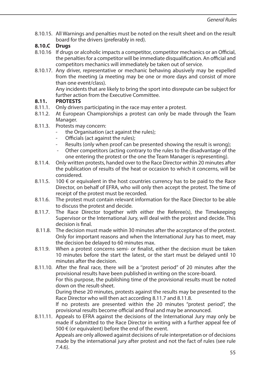8.10.15. All Warnings and penalties must be noted on the result sheet and on the result board for the drivers (preferably in red).

### **8.10.C Drugs**

- 8.10.16 If drugs or alcoholic impacts a competitor, competitor mechanics or an Official, the penalties for a competitor will be immediate disqualification. An official and competitors mechanics will immediately be taken out of service.
- 8.10.17. Any driver, representative or mechanic behaving abusively may be expelled from the meeting (a meeting may be one or more days and consist of more than one event/class).

 Any incidents that are likely to bring the sport into disrepute can be subject for further action from the Executive Committee.

### **8.11. PROTESTS**

- 8.11.1. Only drivers participating in the race may enter a protest.<br>8.11.2. At European Championships a protest can only be mag
- At European Championships a protest can only be made through the Team Manager.
- 8.11.3. Protests may concern:
	- the Organisation (act against the rules):
	- Officials (act against the rules);
	- Results (only when proof can be presented showing the result is wrong);
	- Other competitors (acting contrary to the rules to the disadvantage of the one entering the protest or the one the Team Manager is representing).
- 8.11.4. Only written protests, handed over to the Race Director within 20 minutes after the publication of results of the heat or occasion to which it concerns, will be considered.
- 8.11.5. 100  $\epsilon$  or equivalent in the host countries currency has to be paid to the Race Director, on behalf of EFRA, who will only then accept the protest. The time of receipt of the protest must be recorded.
- 8.11.6. The protest must contain relevant information for the Race Director to be able to discuss the protest and decide.
- 8.11.7. The Race Director together with either the Referee(s), the Timekeeping Supervisor or the International Jury, will deal with the protest and decide. This decision is final.
- 8.11.8. The decision must made within 30 minutes after the acceptance of the protest. Only for important reasons and when the International Jury has to meet, may the decision be delayed to 60 minutes max.
- 8.11.9. When a protest concerns semi- or finalist, either the decision must be taken 10 minutes before the start the latest, or the start must be delayed until 10 minutes after the decision.
- 8.11.10. After the final race, there will be a ''protest period" of 20 minutes after the provisional results have been published in writing on the score-board. For this purpose, the publishing time of the provisional results must be noted down on the result-sheet. During these 20 minutes, protests against the results may be presented to the Race Director who will then act according 8.11.7 and 8.11.8. If no protests are presented within the 20 minutes "protest period", the

provisional results become official and final and may be announced.

8.11.11. Appeals to EFRA against the decisions of the International Jury may only be made if submitted to the Race Director in writing with a further appeal fee of 500 € (or equivalent) before the end of the event.

 Appeals are only allowed against decisions of rule interpretation or of decisions made by the international jury after protest and not the fact of rules (see rule 7.4.6).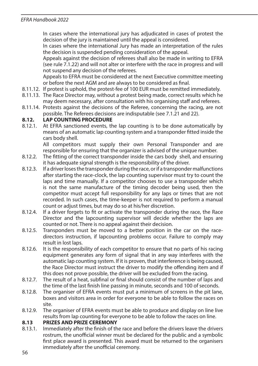In cases where the international jury has adjudicated in cases of protest the decision of the jury is maintained until the appeal is considered.

 In cases where the international Jury has made an interpretation of the rules the decision is suspended pending consideration of the appeal.

 Appeals against the decision of referees shall also be made in writing to EFRA (see rule 7.1.22) and will not alter or interfere with the race in progress and will not suspend any decision of the referees.

 Appeals to EFRA must be considered at the next Executive committee meeting or before the next AGM and are always to be considered as final.

- 8.11.12. If protest is uphold, the protest-fee of 100 EUR must be remitted immediately.
- 8.11.13. The Race Director may, without a protest being made, correct results which he may deem necessary, after consultation with his organising staff and referees.
- 8.11.14. Protests against the decisions of the Referee, concerning the racing, are not possible. The Referees decisions are indisputable (see 7.1.21 and 22).

### **8.12. LAP COUNTING PROCEDURE**

8.12.1. At EFRA sanctioned events, the lap counting is to be done automatically by means of an automatic lap counting system and a transponder fitted inside the cars body shell.

 All competitors must supply their own Personal Transponder and are responsible for ensuring that the organizer is advised of the unique number.

- 8.12.2. The fitting of the correct transponder inside the cars body shell, and ensuring it has adequate signal strength is the responsibility of the driver.
- 8.12.3. If a driver loses the transponder during the race, or if a transponder malfunctions after starting the race-clock, the lap counting supervisor must try to count the laps and time manually. If a competitor chooses to use a transponder which is not the same manufacture of the timing decoder being used, then the competitor must accept full responsibility for any laps or times that are not recorded. In such cases, the time-keeper is not required to perform a manual count or adjust times, but may do so at his/her discretion.
- 8.12.4. If a driver forgets to fit or activate the transponder during the race, the Race Director and the lapcounting supervisor will decide whether the laps are counted or not. There is no appeal against their decision.
- 8.12.5. Transponders must be moved to a better position in the car on the racedirectors instruction, if lapcounting problems occur. Failure to comply may result in lost laps.
- 8.12.6. It is the responsibility of each competitor to ensure that no parts of his racing equipment generates any form of signal that in any way interferes with the automatic lap counting system. If it is proven, that interference is being caused, the Race Director must instruct the driver to modify the offending item and if this does not prove possible, the driver will be excluded from the racing.
- 8.12.7. The result of a heat, subfinal or final should consist of the number of laps and the time of the last finish line passing in minute, seconds and 100 of seconds.
- 8.12.8. The organiser of EFRA events must put a minimum of screens in the pit lane, boxes and visitors area in order for everyone to be able to follow the races on site.
- 8.12.9. The organiser of EFRA events must be able to produce and display on line live results from lap counting for everyone to be able to follow the races on line.

#### **8.13 PRIZES AND PRIZE CEREMONY**

8.13.1. Immediately after the finish of the race and before the drivers leave the drivers rostrum, the unofficial winner must be declared for the public and a symbolic first place award is presented. This award must be returned to the organisers immediately after the unofficial ceremony.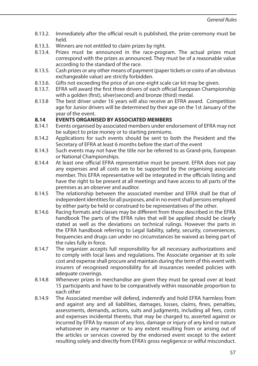- 8.13.2. Immediately after the official result is published, the prize-ceremony must be held.
- 8.13.3. Winners are not entitled to claim prizes by right.<br>8.13.4. Prizes must be announced in the race-progr
- Prizes must be announced in the race-program. The actual prizes must correspond with the prizes as announced. They must be of a reasonable value according to the standard of the race.
- 8.13.5. Cash prizes or any other means of payment (paper tickets or coins of an obvious exchangeable value) are strictly forbidden.
- 8.13.6. Gifts not exceeding the price of an one-eight scale car kit may be given.<br>8.13.7 EFRA will award the first three drivers of each official European Champic
- EFRA will award the first three drivers of each official European Championship with a golden (first), silver(second) and bronze (third) medal.
- 8.13.8 The best driver under 16 years will also receive an EFRA award. Competition age for Junior drivers will be determined by their age on the 1st January of the year of the event.

### **8.14 EVENTS ORGANISED BY ASSOCIATED MEMBERS**

- 8.14.1 Events organised by associated members under endorsement of EFRA may not be subject to prize money or to starting premiums.
- 8.14.2 Applications for such events should be sent to both the President and the Secretary of EFRA at least 6 months before the start of the event
- 8.14.3 Such events may not have the title nor be referred to as Grand-prix, European or National Championships.
- 8.14.4 At least one official EFRA representative must be present. EFRA does not pay any expenses and all costs are to be supported by the organising associate member. This EFRA representative will be integrated in the officials listing and have the right to be present at all meetings and have access to all parts of the premises as an observer and auditor.
- 8.14.5 The relationship between the associated member and EFRA shall be that of independent identities for all purposes, and in no event shall persons employed by either party be held or construed to be representatives of the other.
- 8.14.6 Racing formats and classes may be different from those described in the EFRA handbook The parts of the EFRA rules that will be applied should be clearly stated as well as the deviations on technical rulings. However the parts in the EFRA handbook referring to Legal liability, safety, security, conveniences, frequencies and drugs can under no circumstances be waived as being part of the rules fully in force.
- 8.14.7 The organizer accepts full responsibility for all necessary authorizations and to comply with local laws and regulations. The Associate organiser at its sole cost and expense shall procure and maintain during the term of this event with insurers of recognised responsibility for all insurances needed policies with adequate coverings.
- 8.14.8 Whenever prizes in merchandise are given they must be spread over at least 15 participants and have to be comparatively within reasonable proportion to each other
- 8.14.9 The Associated member will defend, indemnify and hold EFRA harmless from and against any and all liabilities, damages, losses, claims, fines, penalties, assessments, demands, actions, suits and judgments, including all fees, costs and expenses incidental thereto, that may be charged to, asserted against or incurred by EFRA by reason of any loss, damage or injury of any kind or nature whatsoever in any manner or to any extent resulting from or arising out of the articles or services covered by the endorsed event except to the extent resulting solely and directly from EFRA's gross negligence or wilful misconduct.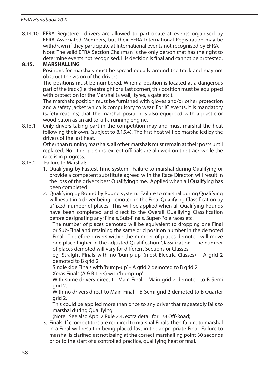8.14.10 EFRA Registered drivers are allowed to participate at events organised by EFRA Associated Members, but their EFRA International Registration may be withdrawn if they participate at International events not recognised by EFRA. Note: The valid EFRA Section Chairman is the only person that has the right to determine events not recognised. His decision is final and cannot be protested.

### **8.15. MARSHALLING**

 Positions for marshals must be spread equally around the track and may not obstruct the vision of the drivers.

 The positions must be numbered. When a position is located at a dangerous part of the track (i.e. the straight or a fast corner), this position must be equipped with protection for the Marshal (a wall, tyres, a gate etc.).

 The marshal's position must be furnished with gloves and/or other protection and a safety jacket which is compulsory to wear. For IC events, it is mandatory (safety reasons) that the marshal position is also equipped with a plastic or wood baton as an aid to kill a running engine.

8.15.1 Only drivers taking part in the competition may and must marshal the heat following their own, (subject to 8.15.4). The first heat will be marshalled by the drivers of the last heat.

 Other than running marshals, all other marshals must remain at their posts until replaced. No other persons, except officials are allowed on the track while the race is in progress.

- 8.15.2 Failure to Marshal:
	- 1. Qualifying by Fastest Time system: Failure to marshal during Qualifying or provide a competent substitute agreed with the Race Director, will result in the loss of the driver's best Qualifying time. Applied when all Qualifying has been completed.
	- 2. Qualifying by Round by Round system: Failure to marshal during Qualifying will result in a driver being demoted in the Final Qualifying Classification by a 'fixed' number of places. This will be applied when all Qualifying Rounds have been completed and direct to the Overall Qualifying Classification before designating any; Finals, Sub-Finals, Super-Pole races etc.

 The number of places demoted will be equivalent to dropping one Final or Sub-Final and retaining the same grid position number in the demoted Final. Therefore drivers within the number of places demoted will move one place higher in the adjusted Qualification Classification. The number of places demoted will vary for different Sections or Classes.

 eg. Straight Finals with no 'bump-up' (most Electric Classes) – A grid 2 demoted to B grid 2.

Single side Finals with 'bump-up' – A grid 2 demoted to B grid 2.

Xmas Finals (A & B tiers) with 'bump-up'

 With some drivers direct to Main Final – Main grid 2 demoted to B Semi grid 2.

 With no drivers direct to Main Final – B Semi grid 2 demoted to B Quarter grid 2.

 This could be applied more than once to any driver that repeatedly fails to marshal during Qualifying.

(Note: See also App. 2 Rule 2.4, extra detail for 1/8 Off-Road).

3. Finals: If ccompetitors are required to marshal Finals, then failure to marshal in a Final will result in being placed last in the appropriate Final. Failure to marshal is clarified as: not being at the correct marshalling point 30 seconds prior to the start of a controlled practice, qualifying heat or final.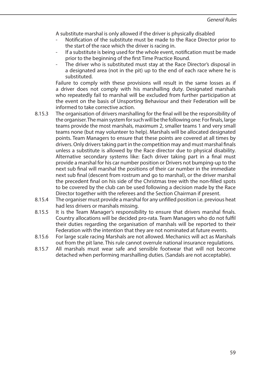A substitute marshal is only allowed if the driver is physically disabled

- Notification of the substitute must be made to the Race Director prior to the start of the race which the driver is racing in.
- If a substitute is being used for the whole event, notification must be made prior to the beginning of the first Time Practice Round.
- The driver who is substituted must stay at the Race Director's disposal in a designated area (not in the pit) up to the end of each race where he is substituted.

 Failure to comply with these provisions will result in the same losses as if a driver does not comply with his marshalling duty. Designated marshals who repeatedly fail to marshal will be excluded from further participation at the event on the basis of Unsporting Behaviour and their Federation will be informed to take corrective action.

- 8.15.3 The organisation of drivers marshalling for the final will be the responsibility of the organiser. The main system for such will be the following one: For finals, large teams provide the most marshals, maximum 2, smaller teams 1 and very small teams none (but may volunteer to help). Marshals will be allocated designated points. Team Managers to ensure that these points are covered at all times by drivers. Only drivers taking part in the competition may and must marshal finals unless a substitute is allowed by the Race director due to physical disability. Alternative secondary systems like: Each driver taking part in a final must provide a marshal for his car number position or Drivers not bumping-up to the next sub final will marshal the positions of their car number in the immediate next sub final (descent from rostrum and go to marshal), or the driver marshal the precedent final on his side of the Christmas tree with the non-filled spots to be covered by the club can be used following a decision made by the Race Director together with the referees and the Section Chairman if present.
- 8.15.4 The organiser must provide a marshal for any unfilled position i.e. previous heat had less drivers or marshals missing.
- 8.15.5 It is the Team Manager's responsibility to ensure that drivers marshal finals. Country allocations will be decided pro-rata. Team Managers who do not fulfil their duties regarding the organisation of marshals will be reported to their Federation with the intention that they are not nominated at future events.
- 8.15.6 For large scale racing Marshals are not allowed. Mechanics will act as Marshals out from the pit lane. This rule cannot overrule national insurance regulations.
- 8.15.7 All marshals must wear safe and sensible footwear that will not become detached when performing marshalling duties. (Sandals are not acceptable).